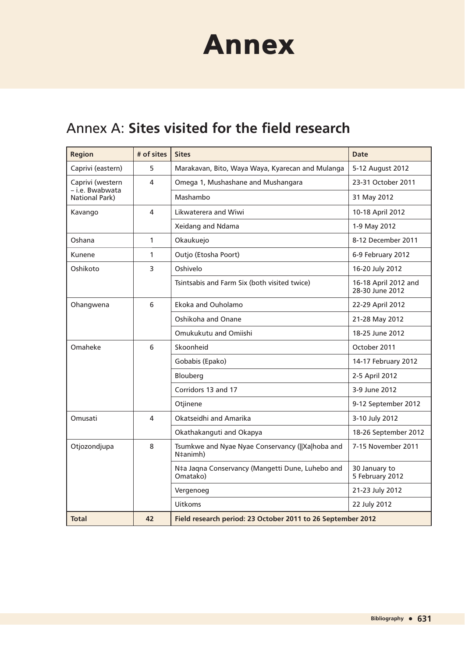## Annex

### Annex A: **Sites visited for the field research**

| <b>Region</b>                     | # of sites   | <b>Sites</b>                                                 | <b>Date</b>                             |
|-----------------------------------|--------------|--------------------------------------------------------------|-----------------------------------------|
| Caprivi (eastern)                 | 5            | Marakavan, Bito, Waya Waya, Kyarecan and Mulanga             | 5-12 August 2012                        |
| Caprivi (western                  | 4            | Omega 1, Mushashane and Mushangara                           | 23-31 October 2011                      |
| - i.e. Bwabwata<br>National Park) |              | Mashambo                                                     | 31 May 2012                             |
| Kavango                           | 4            | Likwaterera and Wiwi                                         | 10-18 April 2012                        |
|                                   |              | Xeidang and Ndama                                            | 1-9 May 2012                            |
| Oshana                            | $\mathbf{1}$ | Okaukuejo                                                    | 8-12 December 2011                      |
| Kunene                            | 1            | Outjo (Etosha Poort)                                         | 6-9 February 2012                       |
| Oshikoto                          | 3            | Oshivelo                                                     | 16-20 July 2012                         |
|                                   |              | Tsintsabis and Farm Six (both visited twice)                 | 16-18 April 2012 and<br>28-30 June 2012 |
| Ohangwena                         | 6            | Ekoka and Ouholamo                                           | 22-29 April 2012                        |
|                                   |              | Oshikoha and Onane                                           | 21-28 May 2012                          |
|                                   |              | Omukukutu and Omiishi                                        | 18-25 June 2012                         |
| Omaheke                           | 6            | Skoonheid                                                    | October 2011                            |
|                                   |              | Gobabis (Epako)                                              | 14-17 February 2012                     |
|                                   |              | Blouberg                                                     | 2-5 April 2012                          |
|                                   |              | Corridors 13 and 17                                          | 3-9 June 2012                           |
|                                   |              | Otjinene                                                     | 9-12 September 2012                     |
| Omusati                           | 4            | Okatseidhi and Amarika                                       | 3-10 July 2012                          |
|                                   |              | Okathakanguti and Okapya                                     | 18-26 September 2012                    |
| Otjozondjupa                      | 8            | Tsumkwe and Nyae Nyae Conservancy (  Xa hoba and<br>N‡animh) | 7-15 November 2011                      |
|                                   |              | N‡a Jaqna Conservancy (Mangetti Dune, Luhebo and<br>Omatako) | 30 January to<br>5 February 2012        |
|                                   |              | Vergenoeg                                                    | 21-23 July 2012                         |
|                                   |              | <b>Uitkoms</b>                                               | 22 July 2012                            |
| <b>Total</b>                      | 42           | Field research period: 23 October 2011 to 26 September 2012  |                                         |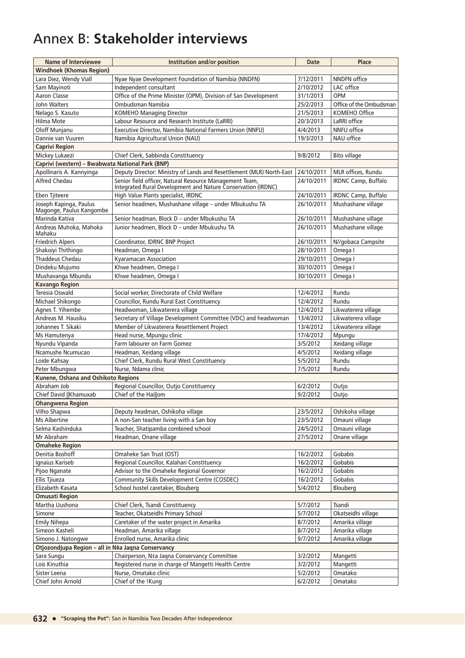### Annex B: **Stakeholder interviews**

| <b>Name of Interviewee</b>                         | Institution and/or position                                                                                             | <b>Date</b> | Place                   |
|----------------------------------------------------|-------------------------------------------------------------------------------------------------------------------------|-------------|-------------------------|
| <b>Windhoek (Khomas Region)</b>                    |                                                                                                                         |             |                         |
| Lara Diez, Wendy Viall                             | Nyae Nyae Development Foundation of Namibia (NNDFN)                                                                     | 7/12/2011   | <b>NNDFN</b> office     |
| Sam Mayinoti                                       | Independent consultant                                                                                                  | 2/10/2012   | LAC office              |
| Aaron Classe                                       | Office of the Prime Minister (OPM), Division of San Development                                                         | 31/1/2013   | OPM                     |
| John Walters                                       | Ombudsman Namibia                                                                                                       | 25/2/2013   | Office of the Ombudsman |
| Nelago S. Kasuto                                   | <b>KOMEHO Managing Director</b>                                                                                         | 21/5/2013   | <b>KOMEHO Office</b>    |
| Hilma Mote                                         | Labour Resource and Research Institute (LaRRI)                                                                          | 20/3/2013   | LaRRI office            |
| Oloff Munjanu                                      | Executive Director, Namibia National Farmers Union (NNFU)                                                               | 4/4/2013    | <b>NNFU office</b>      |
| Dannie van Vuuren                                  | Namibia Agricultural Union (NAU)                                                                                        | 19/3/2013   | NAU office              |
| <b>Caprivi Region</b>                              |                                                                                                                         |             |                         |
| Mickey Lukaezi                                     | Chief Clerk, Sabbinda Constituency                                                                                      | 9/8/2012    | <b>Bito village</b>     |
| Caprivi (western) - Bwabwata National Park (BNP)   |                                                                                                                         |             |                         |
| Apollinaris A. Kannyinga                           | Deputy Director: Ministry of Lands and Resettlement (MLR) North-East                                                    | 24/10/2011  | MLR offices, Rundu      |
| <b>Alfred Chedau</b>                               | Senior field officer, Natural Resource Management Team,<br>Integrated Rural Development and Nature Conservation (IRDNC) | 24/10/2011  | IRDNC Camp, Buffalo     |
| Eben Tjiteere                                      | High Value Plants specialist, IRDNC                                                                                     | 24/10/2011  | IRDNC Camp, Buffalo     |
| Joseph Kapinga, Paulus                             | Senior headmen, Mushashane village - under Mbukushu TA                                                                  | 26/10/2011  | Mushashane village      |
| Magonge, Paulus Kangombe                           |                                                                                                                         |             |                         |
| Marinda Kativa                                     | Senior headman, Block D - under Mbukushu TA                                                                             | 26/10/2011  | Mushashane village      |
| Andreas Muhoka, Mahoka<br>Mahaku                   | Junior headmen, Block D - under Mbukushu TA                                                                             | 26/10/2011  | Mushashane village      |
| <b>Friedrich Alpers</b>                            | Coordinator, IDRNC BNP Project                                                                                          | 26/10/2011  | N//gobaca Campsite      |
| Shakoiyi Thithingo                                 | Headman, Omega I                                                                                                        | 28/10/2011  | Omega I                 |
| Thaddeus Chedau                                    | Kyaramacan Association                                                                                                  | 29/10/2011  | Omega I                 |
| Dindeku Mujumo                                     | Khwe headmen, Omega I                                                                                                   | 30/10/2011  | Omega I                 |
| Mushavanga Mbundu                                  | Khwe headmen, Omega I                                                                                                   | 30/10/2011  | Omega I                 |
| <b>Kavango Region</b>                              |                                                                                                                         |             |                         |
| Teresia Oswald                                     | Social worker, Directorate of Child Welfare                                                                             | 12/4/2012   | Rundu                   |
| Michael Shikongo                                   | Councillor, Rundu Rural East Constituency                                                                               | 12/4/2012   | Rundu                   |
| Agnes T. Yihembe                                   | Headwoman, Likwaterera village                                                                                          | 12/4/2012   | Likwaterera village     |
| Andreas M. Hausiku                                 | Secretary of Village Development Committee (VDC) and headwoman                                                          | 13/4/2012   | Likwaterera village     |
| Johannes T. Sikaki                                 | Member of Likwaterera Resettlement Project                                                                              | 13/4/2012   | Likwaterera village     |
| Ms Hamutenya                                       | Head nurse, Mpungu clinic                                                                                               | 17/4/2012   | Mpungu                  |
| Nyundu Vipanda                                     | Farm labourer on Farm Gomez                                                                                             | 3/5/2012    | Xeidang village         |
| Ncamushe Ncumucao                                  | Headman, Xeidang village                                                                                                | 4/5/2012    | Xeidang village         |
| Loide Kahsay                                       | Chief Clerk, Rundu Rural West Constituency                                                                              | 5/5/2012    | Rundu                   |
| Peter Mbungwa                                      | Nurse, Ndama clinic                                                                                                     | 7/5/2012    | Rundu                   |
| Kunene, Oshana and Oshikoto Regions                |                                                                                                                         |             |                         |
| Abraham Job                                        | Regional Councillor, Outjo Constituency                                                                                 | 6/2/2012    | Outjo                   |
| Chief David   Khamuxab                             | Chief of the Haillom                                                                                                    | 9/2/2012    | Outjo                   |
| <b>Ohangwena Region</b>                            |                                                                                                                         |             |                         |
| Vilho Shapwa                                       | Deputy headman, Oshikoha village                                                                                        | 23/5/2012   | Oshikoha village        |
| Ms Albertine                                       | A non-San teacher living with a San boy                                                                                 | 23/5/2012   | Omauni village          |
| Selma Kashinduka                                   | Teacher, Shatipamba combined school                                                                                     | 24/5/2012   | Omauni village          |
| Mr Abraham                                         | Headman, Onane village                                                                                                  | 27/5/2012   | Onane village           |
| <b>Omaheke Region</b>                              |                                                                                                                         |             |                         |
| Denitia Boshoff                                    | Omaheke San Trust (OST)                                                                                                 | 16/2/2012   | Gobabis                 |
| Ignaius Kariseb                                    | Regional Councillor, Kalahari Constituency                                                                              | 16/2/2012   | Gobabis                 |
| Pijoo Nganate                                      | Advisor to the Omaheke Regional Governor                                                                                | 16/2/2012   | Gobabis                 |
| Ellis Tjiueza                                      | Community Skills Development Centre (COSDEC)                                                                            | 16/2/2012   | Gobabis                 |
| Elizabeth Kasata                                   | School hostel caretaker, Blouberg                                                                                       | 5/4/2012    | Blouberg                |
| <b>Omusati Region</b>                              |                                                                                                                         |             |                         |
| Martha Uushona                                     | Chief Clerk, Tsandi Constituency                                                                                        | 5/7/2012    | Tsandi                  |
| Simone                                             | Teacher, Okatseidhi Primary School                                                                                      | 5/7/2012    | Okatseidhi village      |
| <b>Emily Nihepa</b>                                | Caretaker of the water project in Amarika                                                                               | 8/7/2012    | Amarika village         |
| Simeon Kasheli                                     | Headman, Amarika village                                                                                                | 8/7/2012    | Amarika village         |
| Simono J. Natongwe                                 | Enrolled nurse, Amarika clinic                                                                                          | 9/7/2012    | Amarika village         |
| Otjozondjupa Region - all in N‡a Jaqna Conservancy |                                                                                                                         |             |                         |
| Sara Sungu                                         | Chairperson, N‡a Jaqna Conservancy Committee                                                                            | 3/2/2012    | Mangetti                |
| Lois Kinuthia                                      | Registered nurse in charge of Mangetti Health Centre                                                                    | 3/2/2012    | Mangetti                |
| Sister Leena                                       | Nurse, Omatako clinic                                                                                                   | 5/2/2012    | Omatako                 |
| Chief John Arnold                                  | Chief of the !Kung                                                                                                      | 6/2/2012    | Omatako                 |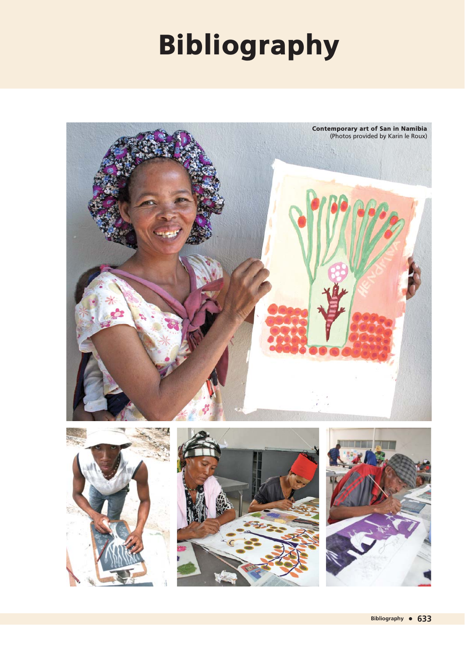# Bibliography

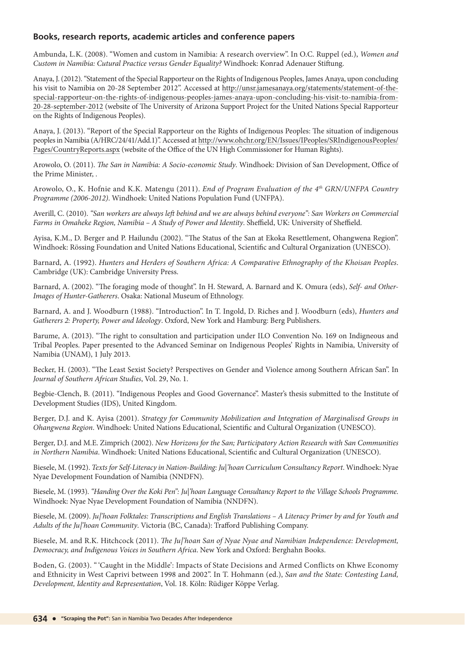#### **Books, research reports, academic articles and conference papers**

Ambunda, L.K. (2008). "Women and custom in Namibia: A research overview". In O.C. Ruppel (ed.), *Women and Custom in Namibia: Cutural Practice versus Gender Equality?* Windhoek: Konrad Adenauer Stiftung.

Anaya, J. (2012). "Statement of the Special Rapporteur on the Rights of Indigenous Peoples, James Anaya, upon concluding his visit to Namibia on 20-28 September 2012". Accessed at http://unsr.jamesanaya.org/statements/statement-of-thespecial-rapporteur-on-the-rights-of-indigenous-peoples-james-anaya-upon-concluding-his-visit-to-namibia-from-20-28-september-2012 (website of The University of Arizona Support Project for the United Nations Special Rapporteur on the Rights of Indigenous Peoples).

Anaya, J. (2013). "Report of the Special Rapporteur on the Rights of Indigenous Peoples: The situation of indigenous peoples in Namibia (A/HRC/24/41/Add.1)". Accessed at http://www.ohchr.org/EN/Issues/IPeoples/SRIndigenousPeoples/ Pages/CountryReports.aspx (website of the Office of the UN High Commissioner for Human Rights).

Arowolo, O. (2011). *The San in Namibia: A Socio-economic Study*. Windhoek: Division of San Development, Office of the Prime Minister, .

Arowolo, O., K. Hofnie and K.K. Matengu (2011). *End of Program Evaluation of the 4th GRN/UNFPA Country Programme (2006-2012)*. Windhoek: United Nations Population Fund (UNFPA).

Averill, C. (2010). *"San workers are always left behind and we are always behind everyone": San Workers on Commercial Farms in Omaheke Region, Namibia – A Study of Power and Identity. Sheffield, UK: University of Sheffield.* 

Ayisa, K.M., D. Berger and P. Hailundu (2002). "The Status of the San at Ekoka Resettlement, Ohangwena Region". Windhoek: Rössing Foundation and United Nations Educational, Scientific and Cultural Organization (UNESCO).

Barnard, A. (1992). *Hunters and Herders of Southern Africa: A Comparative Ethnography of the Khoisan Peoples*. Cambridge (UK): Cambridge University Press.

Barnard, A. (2002). "The foraging mode of thought". In H. Steward, A. Barnard and K. Omura (eds), *Self- and Other-Images of Hunter-Gatherers*. Osaka: National Museum of Ethnology.

Barnard, A. and J. Woodburn (1988). "Introduction". In T. Ingold, D. Riches and J. Woodburn (eds), *Hunters and Gatherers 2: Property, Power and Ideology*. Oxford, New York and Hamburg: Berg Publishers.

Barume, A. (2013). "The right to consultation and participation under ILO Convention No. 169 on Indigneous and Tribal Peoples. Paper presented to the Advanced Seminar on Indigenous Peoples' Rights in Namibia, University of Namibia (UNAM), 1 July 2013.

Becker, H. (2003). "The Least Sexist Society? Perspectives on Gender and Violence among Southern African San". In *Journal of Southern African Studies*, Vol. 29, No. 1.

Begbie-Clench, B. (2011). "Indigenous Peoples and Good Governance". Master's thesis submitted to the Institute of Development Studies (IDS), United Kingdom.

Berger, D.J. and K. Ayisa (2001). *Strategy for Community Mobilization and Integration of Marginalised Groups in Ohangwena Region*. Windhoek: United Nations Educational, Scientific and Cultural Organization (UNESCO).

Berger, D.J. and M.E. Zimprich (2002). *New Horizons for the San; Participatory Action Research with San Communities in Northern Namibia*. Windhoek: United Nations Educational, Scientific and Cultural Organization (UNESCO).

Biesele, M. (1992). *Texts for Self-Literacy in Nation-Building: Ju|'hoan Curriculum Consultancy Report*. Windhoek: Nyae Nyae Development Foundation of Namibia (NNDFN).

Biesele, M. (1993). *"Handing Over the Koki Pen": Ju|'hoan Language Consultancy Report to the Village Schools Programme*. Windhoek: Nyae Nyae Development Foundation of Namibia (NNDFN).

Biesele, M. (2009). *Ju|'hoan Folktales: Transcriptions and English Translations – A Literacy Primer by and for Youth and*  Adults of the Ju<sup>p</sup>hoan Community. Victoria (BC, Canada): Trafford Publishing Company.

Biesele, M. and R.K. Hitchcock (2011). *The Ju|<sup>'</sup>hoan San of Nyae Nyae and Namibian Independence: Development, Democracy, and Indigenous Voices in Southern Africa*. New York and Oxford: Berghahn Books.

Boden, G. (2003). " 'Caught in the Middle': Impacts of State Decisions and Armed Conflicts on Khwe Economy and Ethnicity in West Caprivi between 1998 and 2002". In T. Hohmann (ed.), *San and the State: Contesting Land, Development, Identity and Representation*, Vol. 18. Köln: Rüdiger Köppe Verlag.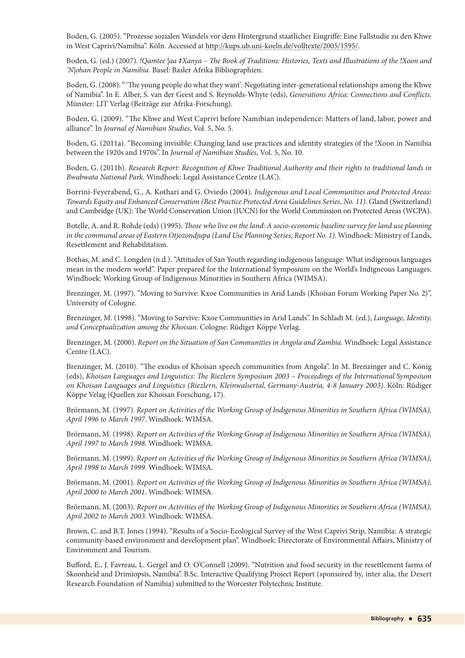Boden, G. (2005). "Prozesse sozialen Wandels vor dem Hintergrund staatlicher Eingriffe: Eine Fallstudie zu den Khwe in West Caprivi/Namibia". Köln. Accessed at http://kups.ub.uni-koeln.de/volltexte/2005/1595/.

Boden, G. (ed.) (2007). *!Qamtee |aa ‡Xanya – The Book of Traditions: Histories, Texts and Illustrations of the !Xoon and 'N|ohan People in Namibia*. Basel: Basler Afrika Bibliographien.

Boden, G. (2008). "The young people do what they want': Negotiating inter-generational relationships among the Khwe of Namibia". In E. Alber, S. van der Geest and S. Reynolds-Whyte (eds), *Generations Africa: Connections and Conflicts*. Münster: LIT Verlag (Beiträge zur Afrika-Forschung).

Boden, G. (2009). "The Khwe and West Caprivi before Namibian independence: Matters of land, labor, power and alliance". In *Journal of Namibian Studies*, Vol. 5, No. 5.

Boden, G. (2011a). "Becoming invisible: Changing land use practices and identity strategies of the !Xoon in Namibia between the 1920s and 1970s". In *Journal of Namibian Studies*, Vol. 5, No. 10.

Boden, G. (2011b). *Research Report: Recognition of Khwe Traditional Authority and their rights to traditional lands in Bwabwata National Park*. Windhoek: Legal Assistance Centre (LAC).

Borrini-Feyerabend, G., A. Kothari and G. Oviedo (2004). *Indigenous and Local Communities and Protected Areas: Towards Equity and Enhanced Conservation (Best Practice Protected Area Guidelines Series, No. 11)*. Gland (Switzerland) and Cambridge (UK): The World Conservation Union (IUCN) for the World Commission on Protected Areas (WCPA).

Botelle, A. and R. Rohde (eds) (1995). *Those who live on the land: A socio-economic baseline survey for land use planning in the communal areas of Eastern Otjozondjupa (Land Use Planning Series, Report No. 1)*. Windhoek: Ministry of Lands, Resettlement and Rehabilitation.

Bothas, M. and C. Longden (n.d.). "Attitudes of San Youth regarding indigenous language: What indigenous languages mean in the modern world". Paper prepared for the International Symposium on the World's Indigneous Languages. Windhoek: Working Group of Indigenous Minorities in Southern Africa (WIMSA).

Brenzinger, M. (1997). "Moving to Survive: Kxoe Communities in Arid Lands (Khoisan Forum Working Paper No. 2)", University of Cologne.

Brenzinger, M. (1998). "Moving to Survive: Kxoe Communities in Arid Lands". In Schladt M. (ed.), *Language, Identity, and Conceptualization among the Khoisan*. Cologne: Rüdiger Köppe Verlag.

Brenzinger, M. (2000). *Report on the Situation of San Communities in Angola and Zambia*. Windhoek: Legal Assistance Centre (LAC).

Brenzinger, M. (2010). "The exodus of Khoisan speech communities from Angola". In M. Brenzinger and C. König (eds), *Khoisan Languages and Linguistics: The Riezlern Symposium 2003 – Proceedings of the International Symposium on Khoisan Languages and Linguistics (Riezlern, Kleinwalsertal, Germany-Austria, 4-8 January 2003)*. Köln: Rüdiger Köppe Velag (Quellen zur Khoisan Forschung, 17).

Brörmann, M. (1997). *Report on Activities of the Working Group of Indigenous Minorities in Southern Africa (WIMSA), April 1996 to March 1997*. Windhoek: WIMSA.

Brörmann, M. (1998). *Report on Activities of the Working Group of Indigenous Minorities in Southern Africa (WIMSA), April 1997 to March 1998*. Windhoek: WIMSA.

Brörmann, M. (1999). *Report on Activities of the Working Group of Indigenous Minorities in Southern Africa (WIMSA), April 1998 to March 1999*. Windhoek: WIMSA.

Brörmann, M. (2001). *Report on Activities of the Working Group of Indigenous Minorities in Southern Africa (WIMSA), April 2000 to March 2001*. Windhoek: WIMSA.

Brörmann, M. (2003). *Report on Activities of the Working Group of Indigenous Minorities in Southern Africa (WIMSA), April 2002 to March 2003*. Windhoek: WIMSA.

Brown, C. and B.T. Jones (1994). "Results of a Socio-Ecological Survey of the West Caprivi Strip, Namibia: A strategic community-based environment and development plan". Windhoek: Directorate of Environmental Affairs, Ministry of Environment and Tourism.

Bufford, E., J. Favreau, L. Gergel and O. O'Connell (2009). "Nutrition and food security in the resettlement farms of Skoonheid and Drimiopsis, Namibia". B.Sc. Interactive Qualifying Project Report (sponsored by, inter alia, the Desert Research Foundation of Namibia) submitted to the Worcester Polytechnic Institute.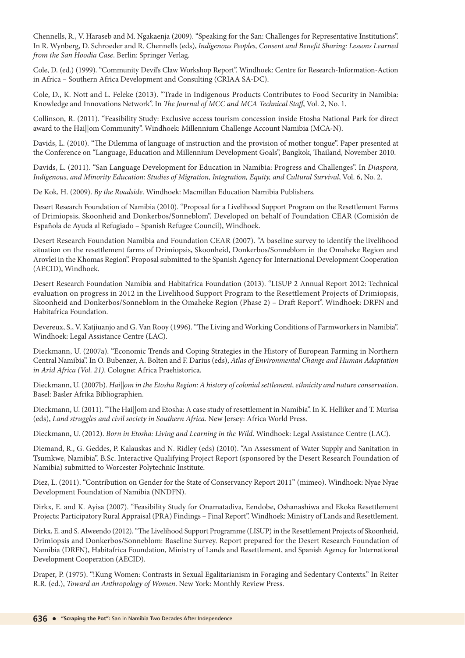Chennells, R., V. Haraseb and M. Ngakaenja (2009). "Speaking for the San: Challenges for Representative Institutions". In R. Wynberg, D. Schroeder and R. Chennells (eds), *Indigenous Peoples, Consent and Benefi t Sharing: Lessons Learned from the San Hoodia Case*. Berlin: Springer Verlag.

Cole, D. (ed.) (1999). "Community Devil's Claw Workshop Report". Windhoek: Centre for Research-Information-Action in Africa – Southern Africa Development and Consulting (CRIAA SA-DC).

Cole, D., K. Nott and L. Feleke (2013). "Trade in Indigenous Products Contributes to Food Security in Namibia: Knowledge and Innovations Network". In *The Journal of MCC and MCA Technical Staff*, Vol. 2, No. 1.

Collinson, R. (2011). "Feasibility Study: Exclusive access tourism concession inside Etosha National Park for direct award to the Hai||om Community". Windhoek: Millennium Challenge Account Namibia (MCA-N).

Davids, L. (2010). "The Dilemma of language of instruction and the provision of mother tongue". Paper presented at the Conference on "Language, Education and Millennium Development Goals", Bangkok, Thailand, November 2010.

Davids, L. (2011). "San Language Development for Education in Namibia: Progress and Challenges". In *Diaspora, Indigenous, and Minority Education: Studies of Migration, Integration, Equity, and Cultural Survival*, Vol. 6, No. 2.

De Kok, H. (2009). *By the Roadside*. Windhoek: Macmillan Education Namibia Publishers.

Desert Research Foundation of Namibia (2010). "Proposal for a Livelihood Support Program on the Resettlement Farms of Drimiopsis, Skoonheid and Donkerbos/Sonneblom". Developed on behalf of Foundation CEAR (Comisión de Española de Ayuda al Refugiado – Spanish Refugee Council), Windhoek.

Desert Research Foundation Namibia and Foundation CEAR (2007). "A baseline survey to identify the livelihood situation on the resettlement farms of Drimiopsis, Skoonheid, Donkerbos/Sonneblom in the Omaheke Region and Arovlei in the Khomas Region". Proposal submitted to the Spanish Agency for International Development Cooperation (AECID), Windhoek.

Desert Research Foundation Namibia and Habitafrica Foundation (2013). "LISUP 2 Annual Report 2012: Technical evaluation on progress in 2012 in the Livelihood Support Program to the Resettlement Projects of Drimiopsis, Skoonheid and Donkerbos/Sonneblom in the Omaheke Region (Phase 2) – Draft Report". Windhoek: DRFN and Habitafrica Foundation.

Devereux, S., V. Katjiuanjo and G. Van Rooy (1996). "The Living and Working Conditions of Farmworkers in Namibia". Windhoek: Legal Assistance Centre (LAC).

Dieckmann, U. (2007a). "Economic Trends and Coping Strategies in the History of European Farming in Northern Central Namibia". In O. Bubenzer, A. Bolten and F. Darius (eds), *Atlas of Environmental Change and Human Adaptation in Arid Africa (Vol. 21)*. Cologne: Africa Praehistorica.

Dieckmann, U. (2007b). *Hai||om in the Etosha Region: A history of colonial settlement, ethnicity and nature conservation*. Basel: Basler Afrika Bibliographien.

Dieckmann, U. (2011). "The Hai||om and Etosha: A case study of resettlement in Namibia". In K. Helliker and T. Murisa (eds), *Land struggles and civil society in Southern Africa*. New Jersey: Africa World Press.

Dieckmann, U. (2012). *Born in Etosha: Living and Learning in the Wild*. Windhoek: Legal Assistance Centre (LAC).

Diemand, R., G. Geddes, P. Kalauskas and N. Ridley (eds) (2010). "An Assessment of Water Supply and Sanitation in Tsumkwe, Namibia". B.Sc. Interactive Qualifying Project Report (sponsored by the Desert Research Foundation of Namibia) submitted to Worcester Polytechnic Institute.

Diez, L. (2011). "Contribution on Gender for the State of Conservancy Report 2011" (mimeo). Windhoek: Nyae Nyae Development Foundation of Namibia (NNDFN).

Dirkx, E. and K. Ayisa (2007). "Feasibility Study for Onamatadiva, Eendobe, Oshanashiwa and Ekoka Resettlement Projects: Participatory Rural Appraisal (PRA) Findings – Final Report". Windhoek: Ministry of Lands and Resettlement.

Dirkx, E. and S. Alweendo (2012). "The Livelihood Support Programme (LISUP) in the Resettlement Projects of Skoonheid, Drimiopsis and Donkerbos/Sonneblom: Baseline Survey. Report prepared for the Desert Research Foundation of Namibia (DRFN), Habitafrica Foundation, Ministry of Lands and Resettlement, and Spanish Agency for International Development Cooperation (AECID).

Draper, P. (1975). "!Kung Women: Contrasts in Sexual Egalitarianism in Foraging and Sedentary Contexts." In Reiter R.R. (ed.), *Toward an Anthropology of Women*. New York: Monthly Review Press.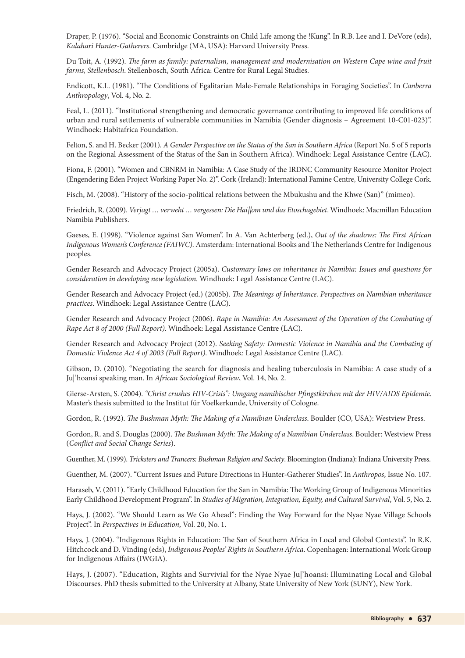Draper, P. (1976). "Social and Economic Constraints on Child Life among the !Kung". In R.B. Lee and I. DeVore (eds), *Kalahari Hunter-Gatherers*. Cambridge (MA, USA): Harvard University Press.

Du Toit, A. (1992). *The farm as family: paternalism, management and modernisation on Western Cape wine and fruit farms, Stellenbosch*. Stellenbosch, South Africa: Centre for Rural Legal Studies.

Endicott, K.L. (1981). "The Conditions of Egalitarian Male-Female Relationships in Foraging Societies". In *Canberra Anthropology*, Vol. 4, No. 2.

Feal, L. (2011). "Institutional strengthening and democratic governance contributing to improved life conditions of urban and rural settlements of vulnerable communities in Namibia (Gender diagnosis – Agreement 10-C01-023)". Windhoek: Habitafrica Foundation.

Felton, S. and H. Becker (2001). *A Gender Perspective on the Status of the San in Southern Africa* (Report No. 5 of 5 reports on the Regional Assessment of the Status of the San in Southern Africa). Windhoek: Legal Assistance Centre (LAC).

Fiona, F. (2001). "Women and CBNRM in Namibia: A Case Study of the IRDNC Community Resource Monitor Project (Engendering Eden Project Working Paper No. 2)". Cork (Ireland): International Famine Centre, University College Cork.

Fisch, M. (2008). "History of the socio-political relations between the Mbukushu and the Khwe (San)" (mimeo).

Friedrich, R. (2009). *Verjagt … verweht … vergessen: Die Hai||om und das Etoschagebiet*. Windhoek: Macmillan Education Namibia Publishers.

Gaeses, E. (1998). "Violence against San Women". In A. Van Achterberg (ed.), Out of the shadows: The First African *Indigenous Women's Conference (FAIWC)*. Amsterdam: International Books and The Netherlands Centre for Indigenous peoples.

Gender Research and Advocacy Project (2005a). *Customary laws on inheritance in Namibia: Issues and questions for consideration in developing new legislation*. Windhoek: Legal Assistance Centre (LAC).

Gender Research and Advocacy Project (ed.) (2005b). *The Meanings of Inheritance. Perspectives on Namibian inheritance practices*. Windhoek: Legal Assistance Centre (LAC).

Gender Research and Advocacy Project (2006). *Rape in Namibia: An Assessment of the Operation of the Combating of Rape Act 8 of 2000 (Full Report)*. Windhoek: Legal Assistance Centre (LAC).

Gender Research and Advocacy Project (2012). *Seeking Safety: Domestic Violence in Namibia and the Combating of Domestic Violence Act 4 of 2003 (Full Report)*. Windhoek: Legal Assistance Centre (LAC).

Gibson, D. (2010). "Negotiating the search for diagnosis and healing tuberculosis in Namibia: A case study of a Ju|'hoansi speaking man. In *African Sociological Review*, Vol. 14, No. 2.

Gierse-Arsten, S. (2004). *"Christ crushes HIV-Crisis": Umgang namibischer Pfingstkirchen mit der HIV/AIDS Epidemie.* Master's thesis submitted to the Institut für Voelkerkunde, University of Cologne.

Gordon, R. (1992). *The Bushman Myth: The Making of a Namibian Underclass*. Boulder (CO, USA): Westview Press.

Gordon, R. and S. Douglas (2000). *The Bushman Myth: The Making of a Namibian Underclass*. Boulder: Westview Press (*Conflict and Social Change Series*).

Guenther, M. (1999). *Tricksters and Trancers: Bushman Religion and Society*. Bloomington (Indiana): Indiana University Press.

Guenther, M. (2007). "Current Issues and Future Directions in Hunter-Gatherer Studies". In *Anthropos*, Issue No. 107.

Haraseb, V. (2011). "Early Childhood Education for the San in Namibia: The Working Group of Indigenous Minorities Early Childhood Development Program". In *Studies of Migration, Integration, Equity, and Cultural Survival*, Vol. 5, No. 2.

Hays, J. (2002). "We Should Learn as We Go Ahead": Finding the Way Forward for the Nyae Nyae Village Schools Project". In *Perspectives in Education*, Vol. 20, No. 1.

Hays, J. (2004). "Indigenous Rights in Education: The San of Southern Africa in Local and Global Contexts". In R.K. Hitchcock and D. Vinding (eds), *Indigenous Peoples' Rights in Southern Africa*. Copenhagen: International Work Group for Indigenous Affairs (IWGIA).

Hays, J. (2007). "Education, Rights and Survivial for the Nyae Nyae Ju|'hoansi: Illuminating Local and Global Discourses. PhD thesis submitted to the University at Albany, State University of New York (SUNY), New York.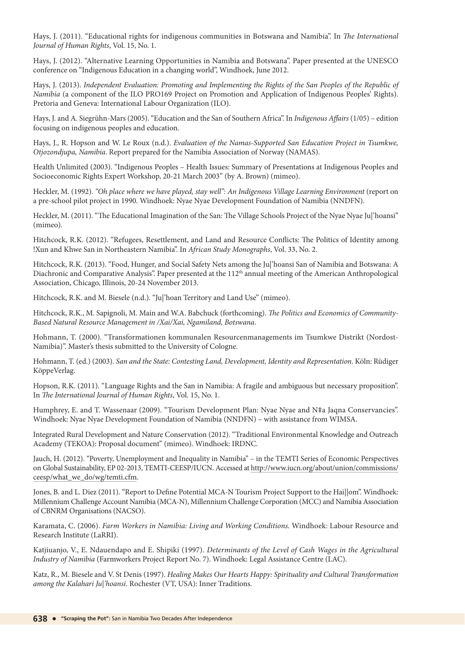Hays, J. (2011). "Educational rights for indigenous communities in Botswana and Namibia". In *The International Journal of Human Rights*, Vol. 15, No. 1.

Hays, J. (2012). "Alternative Learning Opportunities in Namibia and Botswana". Paper presented at the UNESCO conference on "Indigenous Education in a changing world", Windhoek, June 2012.

Hays, J. (2013). *Independent Evaluation: Promoting and Implementing the Rights of the San Peoples of the Republic of Namibia* (a component of the ILO PRO169 Project on Promotion and Application of Indigenous Peoples' Rights). Pretoria and Geneva: International Labour Organization (ILO).

Hays, J. and A. Siegrühn-Mars (2005). "Education and the San of Southern Africa". In *Indigenous Affairs* (1/05) – edition focusing on indigenous peoples and education.

Hays, J., R. Hopson and W. Le Roux (n.d.). *Evaluation of the Namas-Supported San Education Project in Tsumkwe, Otjozondjupa, Namibia*. Report prepared for the Namibia Association of Norway (NAMAS).

Health Unlimited (2003). "Indigenous Peoples – Health Issues: Summary of Presentations at Indigenous Peoples and Socioeconomic Rights Expert Workshop, 20-21 March 2003" (by A. Brown) (mimeo).

Heckler, M. (1992). *"Oh place where we have played, stay well": An Indigenous Village Learning Environment* (report on a pre-school pilot project in 1990. Windhoek: Nyae Nyae Development Foundation of Namibia (NNDFN).

Heckler, M. (2011). "The Educational Imagination of the San: The Village Schools Project of the Nyae Nyae Ju|'hoansi" (mimeo).

Hitchcock, R.K. (2012). "Refugees, Resettlement, and Land and Resource Conflicts: The Politics of Identity among !Xun and Khwe San in Northeastern Namibia". In *African Study Monographs*, Vol. 33, No. 2.

Hitchcock, R.K. (2013). "Food, Hunger, and Social Safety Nets among the Ju|'hoansi San of Namibia and Botswana: A Diachronic and Comparative Analysis". Paper presented at the 112<sup>th</sup> annual meeting of the American Anthropological Association, Chicago, Illinois, 20-24 November 2013.

Hitchcock, R.K. and M. Biesele (n.d.). "Ju|'hoan Territory and Land Use" (mimeo).

Hitchcock, R.K., M. Sapignoli, M. Main and W.A. Babchuck (forthcoming). *The Politics and Economics of Community-Based Natural Resource Management in /Xai/Xai, Ngamiland, Botswana*.

Hohmann, T. (2000). "Transformationen kommunalen Resourcenmanagements im Tsumkwe Distrikt (Nordost-Namibia)". Master's thesis submitted to the University of Cologne.

Hohmann, T. (ed.) (2003). *San and the State: Contesting Land, Development, Identity and Representation*. Köln: Rüdiger KöppeVerlag.

Hopson, R.K. (2011). "Language Rights and the San in Namibia: A fragile and ambiguous but necessary proposition". In *The International Journal of Human Rights*, Vol. 15, No. 1.

Humphrey, E. and T. Wassenaar (2009). "Tourism Development Plan: Nyae Nyae and N‡a Jaqna Conservancies". Windhoek: Nyae Nyae Development Foundation of Namibia (NNDFN) – with assistance from WIMSA.

Integrated Rural Development and Nature Conservation (2012). "Traditional Environmental Knowledge and Outreach Academy (TEKOA): Proposal document" (mimeo). Windhoek: IRDNC.

Jauch, H. (2012). "Poverty, Unemployment and Inequality in Namibia" – in the TEMTI Series of Economic Perspectives on Global Sustainability, EP 02-2013, TEMTI-CEESP/IUCN. Accessed at http://www.iucn.org/about/union/commissions/ ceesp/what\_we\_do/wg/temti.cfm.

Jones, B. and L. Diez (2011). "Report to Define Potential MCA-N Tourism Project Support to the Hai||om". Windhoek: Millennium Challenge Account Namibia (MCA-N), Millennium Challenge Corporation (MCC) and Namibia Association of CBNRM Organisations (NACSO).

Karamata, C. (2006). *Farm Workers in Namibia: Living and Working Conditions*. Windhoek: Labour Resource and Research Institute (LaRRI).

Katjiuanjo, V., E. Ndauendapo and E. Shipiki (1997). *Determinants of the Level of Cash Wages in the Agricultural Industry of Namibia* (Farmworkers Project Report No. 7). Windhoek: Legal Assistance Centre (LAC).

Katz, R., M. Biesele and V. St Denis (1997). *Healing Makes Our Hearts Happy: Spirituality and Cultural Transformation among the Kalahari Ju|'hoansi*. Rochester (VT, USA): Inner Traditions.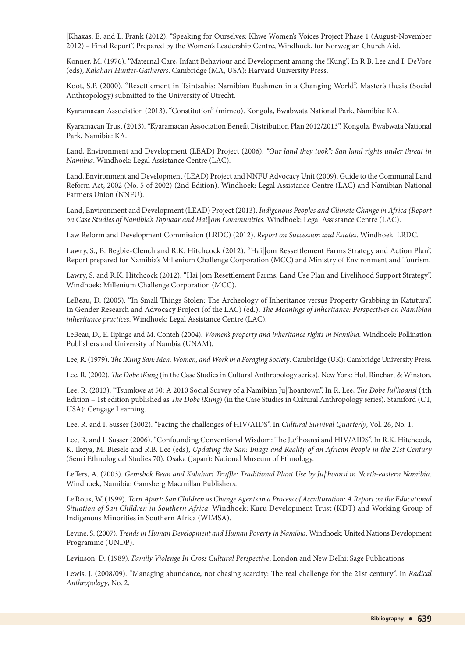|Khaxas, E. and L. Frank (2012). "Speaking for Ourselves: Khwe Women's Voices Project Phase 1 (August-November 2012) – Final Report". Prepared by the Women's Leadership Centre, Windhoek, for Norwegian Church Aid.

Konner, M. (1976). "Maternal Care, Infant Behaviour and Development among the !Kung". In R.B. Lee and I. DeVore (eds), *Kalahari Hunter-Gatherers*. Cambridge (MA, USA): Harvard University Press.

Koot, S.P. (2000). "Resettlement in Tsintsabis: Namibian Bushmen in a Changing World". Master's thesis (Social Anthropology) submitted to the University of Utrecht.

Kyaramacan Association (2013). "Constitution" (mimeo). Kongola, Bwabwata National Park, Namibia: KA.

Kyaramacan Trust (2013). "Kyaramacan Association Benefi t Distribution Plan 2012/2013". Kongola, Bwabwata National Park, Namibia: KA.

Land, Environment and Development (LEAD) Project (2006). *"Our land they took": San land rights under threat in Namibia*. Windhoek: Legal Assistance Centre (LAC).

Land, Environment and Development (LEAD) Project and NNFU Advocacy Unit (2009). Guide to the Communal Land Reform Act, 2002 (No. 5 of 2002) (2nd Edition). Windhoek: Legal Assistance Centre (LAC) and Namibian National Farmers Union (NNFU).

Land, Environment and Development (LEAD) Project (2013). *Indigenous Peoples and Climate Change in Africa (Report on Case Studies of Namibia's Topnaar and Hai||om Communities.* Windhoek: Legal Assistance Centre (LAC).

Law Reform and Development Commission (LRDC) (2012). *Report on Succession and Estates*. Windhoek: LRDC.

Lawry, S., B. Begbie-Clench and R.K. Hitchcock (2012). "Hai||om Ressettlement Farms Strategy and Action Plan". Report prepared for Namibia's Millenium Challenge Corporation (MCC) and Ministry of Environment and Tourism.

Lawry, S. and R.K. Hitchcock (2012). "Hai||om Resettlement Farms: Land Use Plan and Livelihood Support Strategy". Windhoek: Millenium Challenge Corporation (MCC).

LeBeau, D. (2005). "In Small Things Stolen: The Archeology of Inheritance versus Property Grabbing in Katutura". In Gender Research and Advocacy Project (of the LAC) (ed.), *The Meanings of Inheritance: Perspectives on Namibian inheritance practices*. Windhoek: Legal Assistance Centre (LAC).

LeBeau, D., E. Iipinge and M. Conteh (2004). *Women's property and inheritance rights in Namibia*. Windhoek: Pollination Publishers and University of Nambia (UNAM).

Lee, R. (1979). *The !Kung San: Men, Women, and Work in a Foraging Society*. Cambridge (UK): Cambridge University Press.

Lee, R. (2002). *The Dobe !Kung* (in the Case Studies in Cultural Anthropology series). New York: Holt Rinehart & Winston.

Lee, R. (2013). "Tsumkwe at 50: A 2010 Social Survey of a Namibian Ju|'hoantown". In R. Lee, *Th e Dobe Ju|'hoansi* (4th Edition - 1st edition published as *The Dobe !Kung*) (in the Case Studies in Cultural Anthropology series). Stamford (CT, USA): Cengage Learning.

Lee, R. and I. Susser (2002). "Facing the challenges of HIV/AIDS". In *Cultural Survival Quarterly*, Vol. 26, No. 1.

Lee, R. and I. Susser (2006). "Confounding Conventional Wisdom: The Ju/'hoansi and HIV/AIDS". In R.K. Hitchcock, K. Ikeya, M. Biesele and R.B. Lee (eds), *Updating the San: Image and Reality of an African People in the 21st Century* (Senri Ethnological Studies 70). Osaka (Japan): National Museum of Ethnology.

Leff ers, A. (2003). *Gemsbok Bean and Kalahari Truffl e: Traditional Plant Use by Ju|'hoansi in North-eastern Namibia*. Windhoek, Namibia: Gamsberg Macmillan Publishers.

Le Roux, W. (1999). *Torn Apart: San Children as Change Agents in a Process of Acculturation: A Report on the Educational Situation of San Children in Southern Africa*. Windhoek: Kuru Development Trust (KDT) and Working Group of Indigenous Minorities in Southern Africa (WIMSA).

Levine, S. (2007). *Trends in Human Development and Human Poverty in Namibia*. Windhoek: United Nations Development Programme (UNDP).

Levinson, D. (1989). *Family Violenge In Cross Cultural Perspective*. London and New Delhi: Sage Publications.

Lewis, J. (2008/09). "Managing abundance, not chasing scarcity: The real challenge for the 21st century". In *Radical Anthropology*, No. 2.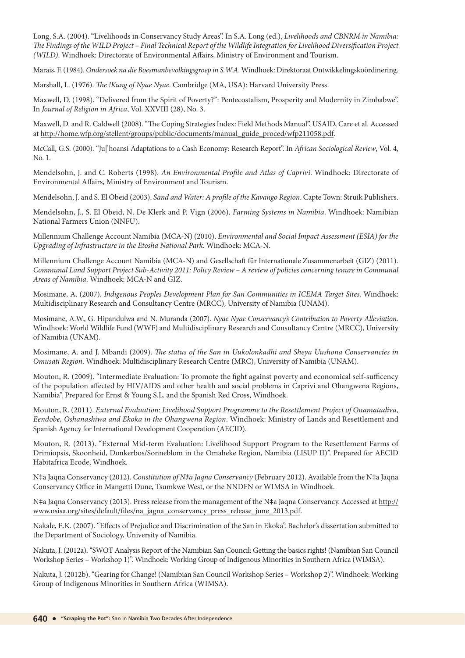Long, S.A. (2004). "Livelihoods in Conservancy Study Areas". In S.A. Long (ed.), *Livelihoods and CBNRM in Namibia: The Findings of the WILD Project – Final Technical Report of the Wildlife Integration for Livelihood Diversification Project (WILD)*. Windhoek: Directorate of Environmental Affairs, Ministry of Environment and Tourism.

Marais, F. (1984). *Ondersoek na die Boesmanbevolkingsgroep in S.W.A*. Windhoek: Direktoraat Ontwikkelingskoördinering.

Marshall, L. (1976). *The !Kung of Nyae Nyae*. Cambridge (MA, USA): Harvard University Press.

Maxwell, D. (1998). "Delivered from the Spirit of Poverty?": Pentecostalism, Prosperity and Modernity in Zimbabwe". In *Journal of Religion in Africa*, Vol. XXVIII (28), No. 3.

Maxwell, D. and R. Caldwell (2008). "The Coping Strategies Index: Field Methods Manual", USAID, Care et al. Accessed at http://home.wfp.org/stellent/groups/public/documents/manual\_guide\_proced/wfp211058.pdf.

McCall, G.S. (2000). "Ju|'hoansi Adaptations to a Cash Economy: Research Report". In *African Sociological Review*, Vol. 4, No. 1.

Mendelsohn, J. and C. Roberts (1998). *An Environmental Profile and Atlas of Caprivi*. Windhoek: Directorate of Environmental Affairs, Ministry of Environment and Tourism.

Mendelsohn, J. and S. El Obeid (2003). *Sand and Water: A profile of the Kavango Region*. Capte Town: Struik Publishers.

Mendelsohn, J., S. El Obeid, N. De Klerk and P. Vign (2006). *Farming Systems in Namibia*. Windhoek: Namibian National Farmers Union (NNFU).

Millennium Challenge Account Namibia (MCA-N) (2010). *Environmental and Social Impact Assessment (ESIA) for the Upgrading of Infrastructure in the Etosha National Park*. Windhoek: MCA-N.

Millennium Challenge Account Namibia (MCA-N) and Gesellschaft für Internationale Zusammenarbeit (GIZ) (2011). *Communal Land Support Project Sub-Activity 2011: Policy Review – A review of policies concerning tenure in Communal Areas of Namibia*. Windhoek: MCA-N and GIZ.

Mosimane, A. (2007). *Indigenous Peoples Development Plan for San Communities in ICEMA Target Sites*. Windhoek: Multidisciplinary Research and Consultancy Centre (MRCC), University of Namibia (UNAM).

Mosimane, A.W., G. Hipandulwa and N. Muranda (2007). *Nyae Nyae Conservancy's Contribution to Poverty Alleviation*. Windhoek: World Wildlife Fund (WWF) and Multidisciplinary Research and Consultancy Centre (MRCC), University of Namibia (UNAM).

Mosimane, A. and J. Mbandi (2009). *The status of the San in Uukolonkadhi and Sheya Uushona Conservancies in Omusati Region*. Windhoek: Multidisciplinary Research Centre (MRC), University of Namibia (UNAM).

Mouton, R. (2009). "Intermediate Evaluation: To promote the fight against poverty and economical self-sufficency of the population affected by HIV/AIDS and other health and social problems in Caprivi and Ohangwena Regions, Namibia". Prepared for Ernst & Young S.L. and the Spanish Red Cross, Windhoek.

Mouton, R. (2011). *External Evaluation: Livelihood Support Programme to the Resettlement Project of Onamatadiva, Eendobe, Oshanashiwa and Ekoka in the Ohangwena Region*. Windhoek: Ministry of Lands and Resettlement and Spanish Agency for International Development Cooperation (AECID).

Mouton, R. (2013). "External Mid-term Evaluation: Livelihood Support Program to the Resettlement Farms of Drimiopsis, Skoonheid, Donkerbos/Sonneblom in the Omaheke Region, Namibia (LISUP II)". Prepared for AECID Habitafrica Ecode, Windhoek.

N‡a Jaqna Conservancy (2012). *Constitution of N‡a Jaqna Conservancy* (February 2012). Available from the N‡a Jaqna Conservancy Office in Mangetti Dune, Tsumkwe West, or the NNDFN or WIMSA in Windhoek.

N‡a Jaqna Conservancy (2013). Press release from the management of the N‡a Jaqna Conservancy. Accessed at http:// www.osisa.org/sites/default/files/na\_jagna\_conservancy\_press\_release\_june\_2013.pdf.

Nakale, E.K. (2007). "Effects of Prejudice and Discrimination of the San in Ekoka". Bachelor's dissertation submitted to the Department of Sociology, University of Namibia.

Nakuta, J. (2012a). "SWOT Analysis Report of the Namibian San Council: Getting the basics rights! (Namibian San Council Workshop Series – Workshop 1)". Windhoek: Working Group of Indigenous Minorities in Southern Africa (WIMSA).

Nakuta, J. (2012b). "Gearing for Change! (Namibian San Council Workshop Series – Workshop 2)". Windhoek: Working Group of Indigenous Minorities in Southern Africa (WIMSA).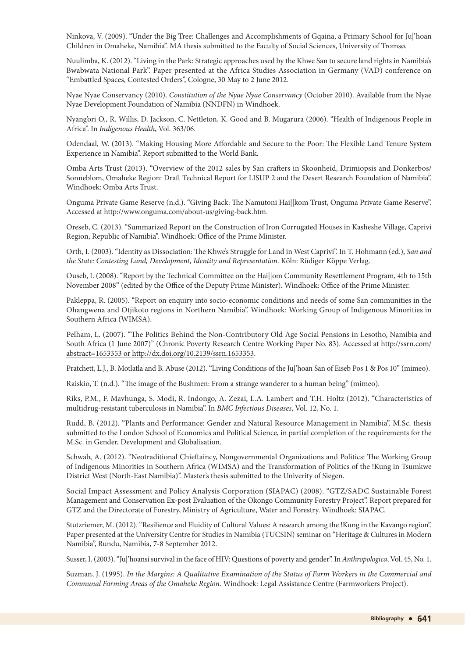Ninkova, V. (2009). "Under the Big Tree: Challenges and Accomplishments of Gqaina, a Primary School for Ju|'hoan Children in Omaheke, Namibia". MA thesis submitted to the Faculty of Social Sciences, University of Tromsø.

Nuulimba, K. (2012). "Living in the Park: Strategic approaches used by the Khwe San to secure land rights in Namibia's Bwabwata National Park". Paper presented at the Africa Studies Association in Germany (VAD) conference on "Embattled Spaces, Contested Orders", Cologne, 30 May to 2 June 2012.

Nyae Nyae Conservancy (2010). *Constitution of the Nyae Nyae Conservancy* (October 2010). Available from the Nyae Nyae Development Foundation of Namibia (NNDFN) in Windhoek.

Nyang'ori O., R. Willis, D. Jackson, C. Nettleton, K. Good and B. Mugarura (2006). "Health of Indigenous People in Africa". In *Indigenous Health*, Vol. 363/06.

Odendaal, W. (2013). "Making Housing More Affordable and Secure to the Poor: The Flexible Land Tenure System Experience in Namibia". Report submitted to the World Bank.

Omba Arts Trust (2013). "Overview of the 2012 sales by San crafters in Skoonheid, Drimiopsis and Donkerbos/ Sonneblom, Omaheke Region: Draft Technical Report for LISUP 2 and the Desert Research Foundation of Namibia". Windhoek: Omba Arts Trust.

Onguma Private Game Reserve (n.d.). "Giving Back: The Namutoni Hai||kom Trust, Onguma Private Game Reserve". Accessed at http://www.onguma.com/about-us/giving-back.htm.

Oreseb, C. (2013). "Summarized Report on the Construction of Iron Corrugated Houses in Kasheshe Village, Caprivi Region, Republic of Namibia". Windhoek: Office of the Prime Minister.

Orth, I. (2003). "Identity as Dissociation: The Khwe's Struggle for Land in West Caprivi". In T. Hohmann (ed.), San and *the State: Contesting Land, Development, Identity and Representation*. Köln: Rüdiger Köppe Verlag.

Ouseb, I. (2008). "Report by the Technical Committee on the Hai||om Community Resettlement Program, 4th to 15th November 2008" (edited by the Office of the Deputy Prime Minister). Windhoek: Office of the Prime Minister.

Pakleppa, R. (2005). "Report on enquiry into socio-economic conditions and needs of some San communities in the Ohangwena and Otjikoto regions in Northern Namibia". Windhoek: Working Group of Indigenous Minorities in Southern Africa (WIMSA).

Pelham, L. (2007). "The Politics Behind the Non-Contributory Old Age Social Pensions in Lesotho, Namibia and South Africa (1 June 2007)" (Chronic Poverty Research Centre Working Paper No. 83). Accessed at http://ssrn.com/ abstract=1653353 or http://dx.doi.org/10.2139/ssrn.1653353.

Pratchett, L.J., B. Motlatla and B. Abuse (2012). "Living Conditions of the Ju|'hoan San of Eiseb Pos 1 & Pos 10" (mimeo).

Raiskio, T. (n.d.). "The image of the Bushmen: From a strange wanderer to a human being" (mimeo).

Riks, P.M., F. Mavhunga, S. Modi, R. Indongo, A. Zezai, L.A. Lambert and T.H. Holtz (2012). "Characteristics of multidrug-resistant tuberculosis in Namibia". In *BMC Infectious Diseases*, Vol. 12, No. 1.

Rudd, B. (2012). "Plants and Performance: Gender and Natural Resource Management in Namibia". M.Sc. thesis submitted to the London School of Economics and Political Science, in partial completion of the requirements for the M.Sc. in Gender, Development and Globalisation.

Schwab, A. (2012). "Neotraditional Chieftaincy, Nongovernmental Organizations and Politics: The Working Group of Indigenous Minorities in Southern Africa (WIMSA) and the Transformation of Politics of the !Kung in Tsumkwe District West (North-East Namibia)". Master's thesis submitted to the Univerity of Siegen.

Social Impact Assessment and Policy Analysis Corporation (SIAPAC) (2008). "GTZ/SADC Sustainable Forest Management and Conservation Ex-post Evaluation of the Okongo Community Forestry Project". Report prepared for GTZ and the Directorate of Forestry, Ministry of Agriculture, Water and Forestry. Windhoek: SIAPAC.

Stutzriemer, M. (2012). "Resilience and Fluidity of Cultural Values: A research among the !Kung in the Kavango region". Paper presented at the University Centre for Studies in Namibia (TUCSIN) seminar on "Heritage & Cultures in Modern Namibia", Rundu, Namibia, 7-8 September 2012.

Susser, I. (2003). "Ju|'hoansi survival in the face of HIV: Questions of poverty and gender". In *Anthropologica*, Vol. 45, No. 1.

Suzman, J. (1995). *In the Margins: A Qualitative Examination of the Status of Farm Workers in the Commercial and Communal Farming Areas of the Omaheke Region*. Windhoek: Legal Assistance Centre (Farmworkers Project).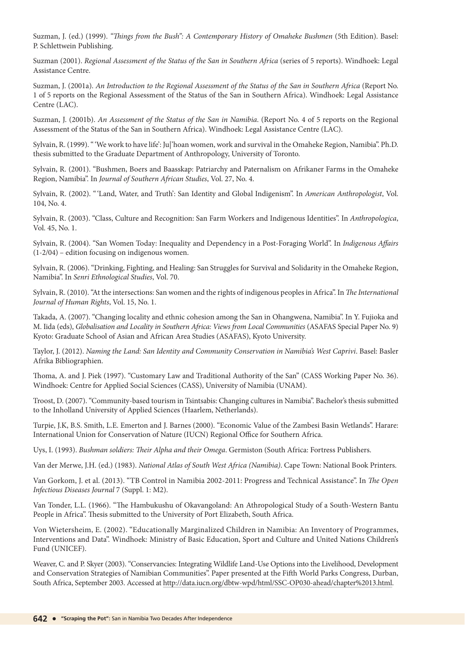Suzman, J. (ed.) (1999). *"Things from the Bush": A Contemporary History of Omaheke Bushmen* (5th Edition). Basel: P. Schlettwein Publishing.

Suzman (2001). *Regional Assessment of the Status of the San in Southern Africa* (series of 5 reports). Windhoek: Legal Assistance Centre.

Suzman, J. (2001a). *An Introduction to the Regional Assessment of the Status of the San in Southern Africa* (Report No. 1 of 5 reports on the Regional Assessment of the Status of the San in Southern Africa). Windhoek: Legal Assistance Centre (LAC).

Suzman, J. (2001b). *An Assessment of the Status of the San in Namibia*. (Report No. 4 of 5 reports on the Regional Assessment of the Status of the San in Southern Africa). Windhoek: Legal Assistance Centre (LAC).

Sylvain, R. (1999). " 'We work to have life': Ju|'hoan women, work and survival in the Omaheke Region, Namibia". Ph.D. thesis submitted to the Graduate Department of Anthropology, University of Toronto.

Sylvain, R. (2001). "Bushmen, Boers and Baasskap: Patriarchy and Paternalism on Afrikaner Farms in the Omaheke Region, Namibia". In *Journal of Southern African Studies*, Vol. 27, No. 4.

Sylvain, R. (2002). " 'Land, Water, and Truth': San Identity and Global Indigenism". In *American Anthropologist*, Vol. 104, No. 4.

Sylvain, R. (2003). "Class, Culture and Recognition: San Farm Workers and Indigenous Identities". In *Anthropologica*, Vol. 45, No. 1.

Sylvain, R. (2004). "San Women Today: Inequality and Dependency in a Post-Foraging World". In *Indigenous Affairs* (1-2/04) – edition focusing on indigenous women.

Sylvain, R. (2006). "Drinking, Fighting, and Healing: San Struggles for Survival and Solidarity in the Omaheke Region, Namibia". In *Senri Ethnological Studies*, Vol. 70.

Sylvain, R. (2010). "At the intersections: San women and the rights of indigenous peoples in Africa". In *The International Journal of Human Rights*, Vol. 15, No. 1.

Takada, A. (2007). "Changing locality and ethnic cohesion among the San in Ohangwena, Namibia". In Y. Fujioka and M. Iida (eds), *Globalisation and Locality in Southern Africa: Views from Local Communities* (ASAFAS Special Paper No. 9) Kyoto: Graduate School of Asian and African Area Studies (ASAFAS), Kyoto University.

Taylor, J. (2012). *Naming the Land: San Identity and Community Conservation in Namibia's West Caprivi*. Basel: Basler Afrika Bibliographien.

Thoma, A. and J. Piek (1997). "Customary Law and Traditional Authority of the San" (CASS Working Paper No. 36). Windhoek: Centre for Applied Social Sciences (CASS), University of Namibia (UNAM).

Troost, D. (2007). "Community-based tourism in Tsintsabis: Changing cultures in Namibia". Bachelor's thesis submitted to the Inholland University of Applied Sciences (Haarlem, Netherlands).

Turpie, J.K, B.S. Smith, L.E. Emerton and J. Barnes (2000). "Economic Value of the Zambesi Basin Wetlands". Harare: International Union for Conservation of Nature (IUCN) Regional Office for Southern Africa.

Uys, I. (1993). *Bushman soldiers: Their Alpha and their Omega*. Germiston (South Africa: Fortress Publishers.

Van der Merwe, J.H. (ed.) (1983). *National Atlas of South West Africa (Namibia)*. Cape Town: National Book Printers.

Van Gorkom, J. et al. (2013). "TB Control in Namibia 2002-2011: Progress and Technical Assistance". In *The Open Infectious Diseases Journal* 7 (Suppl. 1: M2).

Van Tonder, L.L. (1966). "The Hambukushu of Okavangoland: An Athropological Study of a South-Western Bantu People in Africa". Thesis submitted to the University of Port Elizabeth, South Africa.

Von Wietersheim, E. (2002). "Educationally Marginalized Children in Namibia: An Inventory of Programmes, Interventions and Data". Windhoek: Ministry of Basic Education, Sport and Culture and United Nations Children's Fund (UNICEF).

Weaver, C. and P. Skyer (2003). "Conservancies: Integrating Wildlife Land-Use Options into the Livelihood, Development and Conservation Strategies of Namibian Communities". Paper presented at the Fifth World Parks Congress, Durban, South Africa, September 2003. Accessed at http://data.iucn.org/dbtw-wpd/html/SSC-OP030-ahead/chapter%2013.html.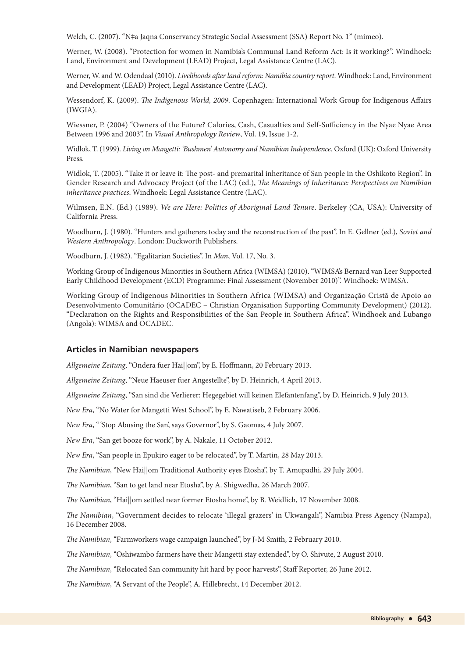Welch, C. (2007). "N‡a Jaqna Conservancy Strategic Social Assessment (SSA) Report No. 1" (mimeo).

Werner, W. (2008). "Protection for women in Namibia's Communal Land Reform Act: Is it working?". Windhoek: Land, Environment and Development (LEAD) Project, Legal Assistance Centre (LAC).

Werner, W. and W. Odendaal (2010). *Livelihoods after land reform: Namibia country report*. Windhoek: Land, Environment and Development (LEAD) Project, Legal Assistance Centre (LAC).

Wessendorf, K. (2009). *The Indigenous World, 2009*. Copenhagen: International Work Group for Indigenous Affairs (IWGIA).

Wiessner, P. (2004) "Owners of the Future? Calories, Cash, Casualties and Self-Sufficiency in the Nyae Nyae Area Between 1996 and 2003". In *Visual Anthropology Review*, Vol. 19, Issue 1-2.

Widlok, T. (1999). *Living on Mangetti: 'Bushmen' Autonomy and Namibian Independence*. Oxford (UK): Oxford University Press.

Widlok, T. (2005). "Take it or leave it: The post- and premarital inheritance of San people in the Oshikoto Region". In Gender Research and Advocacy Project (of the LAC) (ed.), *The Meanings of Inheritance: Perspectives on Namibian inheritance practices*. Windhoek: Legal Assistance Centre (LAC).

Wilmsen, E.N. (Ed.) (1989). *We are Here: Politics of Aboriginal Land Tenure*. Berkeley (CA, USA): University of California Press.

Woodburn, J. (1980). "Hunters and gatherers today and the reconstruction of the past". In E. Gellner (ed.), *Soviet and Western Anthropology*. London: Duckworth Publishers.

Woodburn, J. (1982). "Egalitarian Societies". In *Man*, Vol. 17, No. 3.

Working Group of Indigenous Minorities in Southern Africa (WIMSA) (2010). "WIMSA's Bernard van Leer Supported Early Childhood Development (ECD) Programme: Final Assessment (November 2010)". Windhoek: WIMSA.

Working Group of Indigenous Minorities in Southern Africa (WIMSA) and Organização Cristã de Apoio ao Desenvolvimento Comunitário (OCADEC – Christian Organisation Supporting Community Development) (2012). "Declaration on the Rights and Responsibilities of the San People in Southern Africa". Windhoek and Lubango (Angola): WIMSA and OCADEC.

#### **Articles in Namibian newspapers**

*Allgemeine Zeitung*, "Ondera fuer Hai $|$ lom", by E. Hoffmann, 20 February 2013.

*Allgemeine Zeitung*, "Neue Haeuser fuer Angestellte", by D. Heinrich, 4 April 2013.

*Allgemeine Zeitung*, "San sind die Verlierer: Hegegebiet will keinen Elefantenfang", by D. Heinrich, 9 July 2013.

*New Era*, "No Water for Mangetti West School", by E. Nawatiseb, 2 February 2006.

*New Era*, " 'Stop Abusing the San', says Governor", by S. Gaomas, 4 July 2007.

*New Era*, "San get booze for work", by A. Nakale, 11 October 2012.

*New Era*, "San people in Epukiro eager to be relocated", by T. Martin, 28 May 2013.

*The Namibian*, "New Hai||om Traditional Authority eyes Etosha", by T. Amupadhi, 29 July 2004.

*The Namibian*, "San to get land near Etosha", by A. Shigwedha, 26 March 2007.

*The Namibian*, "Hai||om settled near former Etosha home", by B. Weidlich, 17 November 2008.

*The Namibian*, "Government decides to relocate 'illegal grazers' in Ukwangali", Namibia Press Agency (Nampa), 16 December 2008.

*The Namibian*, "Farmworkers wage campaign launched", by J-M Smith, 2 February 2010.

*The Namibian*, "Oshiwambo farmers have their Mangetti stay extended", by O. Shivute, 2 August 2010.

*The Namibian*, "Relocated San community hit hard by poor harvests", Staff Reporter, 26 June 2012.

*The Namibian*, "A Servant of the People", A. Hillebrecht, 14 December 2012.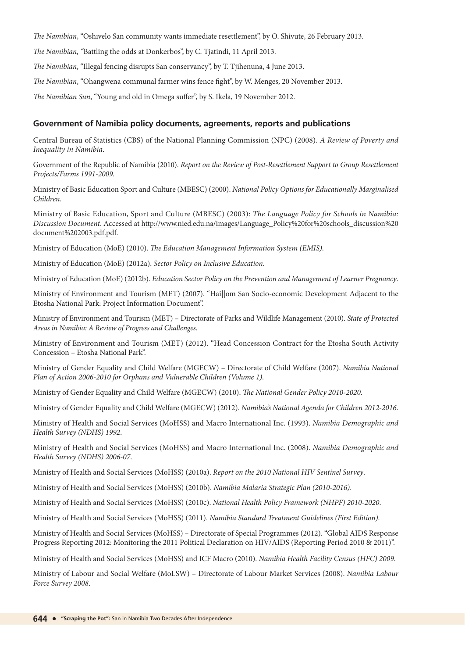*The Namibian*, "Oshivelo San community wants immediate resettlement", by O. Shivute, 26 February 2013.

*The Namibian*, "Battling the odds at Donkerbos", by C. Tjatindi, 11 April 2013.

*The Namibian*, "Illegal fencing disrupts San conservancy", by T. Tjihenuna, 4 June 2013.

*The Namibian*, "Ohangwena communal farmer wins fence fight", by W. Menges, 20 November 2013.

*The Namibian Sun*, "Young and old in Omega suffer", by S. Ikela, 19 November 2012.

#### **Government of Namibia policy documents, agreements, reports and publications**

Central Bureau of Statistics (CBS) of the National Planning Commission (NPC) (2008). *A Review of Poverty and Inequality in Namibia*.

Government of the Republic of Namibia (2010). *Report on the Review of Post-Resettlement Support to Group Resettlement Projects/Farms 1991-2009.*

Ministry of Basic Education Sport and Culture (MBESC) (2000). *National Policy Options for Educationally Marginalised Children*.

Ministry of Basic Education, Sport and Culture (MBESC) (2003): *The Language Policy for Schools in Namibia: Discussion Document*. Accessed at http://www.nied.edu.na/images/Language\_Policy%20for%20schools\_discussion%20 document%202003.pdf.pdf.

Ministry of Education (MoE) (2010). *The Education Management Information System (EMIS)*.

Ministry of Education (MoE) (2012a). *Sector Policy on Inclusive Education*.

Ministry of Education (MoE) (2012b). *Education Sector Policy on the Prevention and Management of Learner Pregnancy*.

Ministry of Environment and Tourism (MET) (2007). "Hai||om San Socio-economic Development Adjacent to the Etosha National Park: Project Information Document".

Ministry of Environment and Tourism (MET) – Directorate of Parks and Wildlife Management (2010). *State of Protected Areas in Namibia: A Review of Progress and Challenges*.

Ministry of Environment and Tourism (MET) (2012). "Head Concession Contract for the Etosha South Activity Concession – Etosha National Park".

Ministry of Gender Equality and Child Welfare (MGECW) – Directorate of Child Welfare (2007). *Namibia National Plan of Action 2006-2010 for Orphans and Vulnerable Children (Volume 1)*.

Ministry of Gender Equality and Child Welfare (MGECW) (2010). *The National Gender Policy 2010-2020*.

Ministry of Gender Equality and Child Welfare (MGECW) (2012). *Namibia's National Agenda for Children 2012-2016*.

Ministry of Health and Social Services (MoHSS) and Macro International Inc. (1993). *Namibia Demographic and Health Survey (NDHS) 1992*.

Ministry of Health and Social Services (MoHSS) and Macro International Inc. (2008). *Namibia Demographic and Health Survey (NDHS) 2006-07*.

Ministry of Health and Social Services (MoHSS) (2010a). *Report on the 2010 National HIV Sentinel Survey*.

Ministry of Health and Social Services (MoHSS) (2010b). *Namibia Malaria Strategic Plan (2010-2016)*.

Ministry of Health and Social Services (MoHSS) (2010c). *National Health Policy Framework (NHPF) 2010-2020*.

Ministry of Health and Social Services (MoHSS) (2011). *Namibia Standard Treatment Guidelines (First Edition)*.

Ministry of Health and Social Services (MoHSS) – Directorate of Special Programmes (2012). "Global AIDS Response Progress Reporting 2012: Monitoring the 2011 Political Declaration on HIV/AIDS (Reporting Period 2010 & 2011)".

Ministry of Health and Social Services (MoHSS) and ICF Macro (2010). *Namibia Health Facility Census (HFC) 2009*.

Ministry of Labour and Social Welfare (MoLSW) – Directorate of Labour Market Services (2008). *Namibia Labour Force Survey 2008*.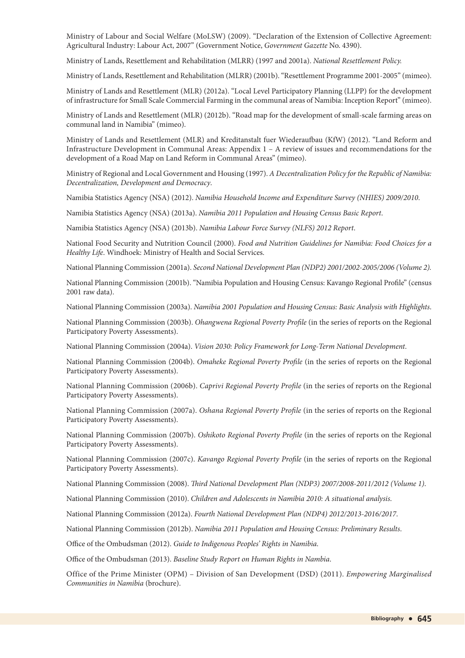Ministry of Labour and Social Welfare (MoLSW) (2009). "Declaration of the Extension of Collective Agreement: Agricultural Industry: Labour Act, 2007" (Government Notice, *Government Gazette* No. 4390).

Ministry of Lands, Resettlement and Rehabilitation (MLRR) (1997 and 2001a). *National Resettlement Policy.*

Ministry of Lands, Resettlement and Rehabilitation (MLRR) (2001b). "Resettlement Programme 2001-2005" (mimeo).

Ministry of Lands and Resettlement (MLR) (2012a). "Local Level Participatory Planning (LLPP) for the development of infrastructure for Small Scale Commercial Farming in the communal areas of Namibia: Inception Report" (mimeo).

Ministry of Lands and Resettlement (MLR) (2012b). "Road map for the development of small-scale farming areas on communal land in Namibia" (mimeo).

Ministry of Lands and Resettlement (MLR) and Kreditanstalt fuer Wiederaufbau (KfW) (2012). "Land Reform and Infrastructure Development in Communal Areas: Appendix 1 – A review of issues and recommendations for the development of a Road Map on Land Reform in Communal Areas" (mimeo).

Ministry of Regional and Local Government and Housing (1997). *A Decentralization Policy for the Republic of Namibia: Decentralization, Development and Democracy*.

Namibia Statistics Agency (NSA) (2012). *Namibia Household Income and Expenditure Survey (NHIES) 2009/2010*.

Namibia Statistics Agency (NSA) (2013a). *Namibia 2011 Population and Housing Census Basic Report*.

Namibia Statistics Agency (NSA) (2013b). *Namibia Labour Force Survey (NLFS) 2012 Report*.

National Food Security and Nutrition Council (2000). *Food and Nutrition Guidelines for Namibia: Food Choices for a Healthy Life*. Windhoek: Ministry of Health and Social Services.

National Planning Commission (2001a). *Second National Development Plan (NDP2) 2001/2002-2005/2006 (Volume 2).*

National Planning Commission (2001b). "Namibia Population and Housing Census: Kavango Regional Profile" (census 2001 raw data).

National Planning Commission (2003a). *Namibia 2001 Population and Housing Census: Basic Analysis with Highlights*.

National Planning Commission (2003b). *Ohangwena Regional Poverty Profile* (in the series of reports on the Regional Participatory Poverty Assessments).

National Planning Commission (2004a). *Vision 2030: Policy Framework for Long-Term National Development*.

National Planning Commission (2004b). *Omaheke Regional Poverty Profile* (in the series of reports on the Regional Participatory Poverty Assessments).

National Planning Commission (2006b). *Caprivi Regional Poverty Profile* (in the series of reports on the Regional Participatory Poverty Assessments).

National Planning Commission (2007a). *Oshana Regional Poverty Profile* (in the series of reports on the Regional Participatory Poverty Assessments).

National Planning Commission (2007b). *Oshikoto Regional Poverty Profile* (in the series of reports on the Regional Participatory Poverty Assessments).

National Planning Commission (2007c). *Kavango Regional Poverty Profile* (in the series of reports on the Regional Participatory Poverty Assessments).

National Planning Commission (2008). *Third National Development Plan (NDP3)* 2007/2008-2011/2012 (Volume 1).

National Planning Commission (2010). *Children and Adolescents in Namibia 2010: A situational analysis*.

National Planning Commission (2012a). *Fourth National Development Plan (NDP4) 2012/2013-2016/2017*.

National Planning Commission (2012b). *Namibia 2011 Population and Housing Census: Preliminary Results*.

Office of the Ombudsman (2012). *Guide to Indigenous Peoples' Rights in Namibia*.

Office of the Ombudsman (2013). *Baseline Study Report on Human Rights in Nambia*.

Office of the Prime Minister (OPM) – Division of San Development (DSD) (2011). *Empowering Marginalised Communities in Namibia* (brochure).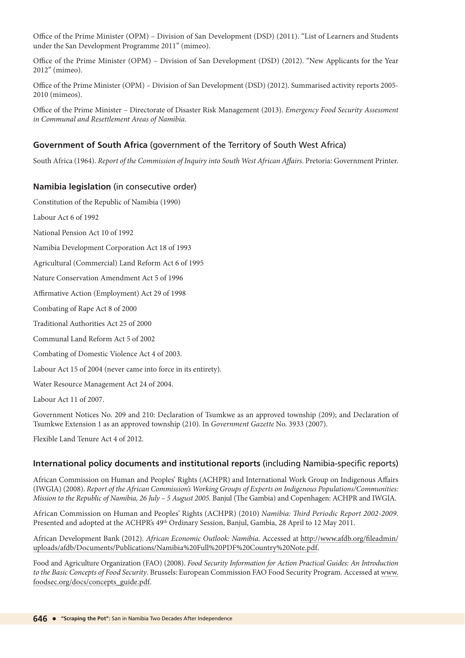Office of the Prime Minister (OPM) – Division of San Development (DSD) (2011). "List of Learners and Students under the San Development Programme 2011" (mimeo).

Office of the Prime Minister (OPM) – Division of San Development (DSD) (2012). "New Applicants for the Year 2012" (mimeo).

Office of the Prime Minister (OPM) – Division of San Development (DSD) (2012). Summarised activity reports 2005-2010 (mimeos).

Office of the Prime Minister - Directorate of Disaster Risk Management (2013). *Emergency Food Security Assessment in Communal and Resettlement Areas of Namibia*.

#### **Government of South Africa** (government of the Territory of South West Africa)

South Africa (1964). *Report of the Commission of Inquiry into South West African Affairs*. Pretoria: Government Printer.

#### **Namibia legislation** (in consecutive order)

Constitution of the Republic of Namibia (1990)

Labour Act 6 of 1992

National Pension Act 10 of 1992

Namibia Development Corporation Act 18 of 1993

Agricultural (Commercial) Land Reform Act 6 of 1995

Nature Conservation Amendment Act 5 of 1996

Affirmative Action (Employment) Act 29 of 1998

Combating of Rape Act 8 of 2000

Traditional Authorities Act 25 of 2000

Communal Land Reform Act 5 of 2002

Combating of Domestic Violence Act 4 of 2003.

Labour Act 15 of 2004 (never came into force in its entirety).

Water Resource Management Act 24 of 2004.

Labour Act 11 of 2007.

Government Notices No. 209 and 210: Declaration of Tsumkwe as an approved township (209); and Declaration of Tsumkwe Extension 1 as an approved township (210). In *Government Gazette* No. 3933 (2007).

Flexible Land Tenure Act 4 of 2012.

#### **International policy documents and institutional reports** (including Namibia-specific reports)

African Commission on Human and Peoples' Rights (ACHPR) and International Work Group on Indigenous Affairs (IWGIA) (2008). *Report of the African Commission's Working Groups of Experts on Indigenous Populations/Communities: Mission to the Republic of Namibia, 26 July - 5 August 2005*. Banjul (The Gambia) and Copenhagen: ACHPR and IWGIA.

African Commission on Human and Peoples' Rights (ACHPR) (2010) *Namibia: Third Periodic Report 2002-2009*. Presented and adopted at the ACHPR's 49<sup>th</sup> Ordinary Session, Banjul, Gambia, 28 April to 12 May 2011.

African Development Bank (2012). *African Economic Outlook: Namibia*. Accessed at http://www.afdb.org/fileadmin/ uploads/afdb/Documents/Publications/Namibia%20Full%20PDF%20Country%20Note.pdf.

Food and Agriculture Organization (FAO) (2008). *Food Security Information for Action Practical Guides: An Introduction to the Basic Concepts of Food Security*. Brussels: European Commission FAO Food Security Program. Accessed at www. foodsec.org/docs/concepts\_guide.pdf.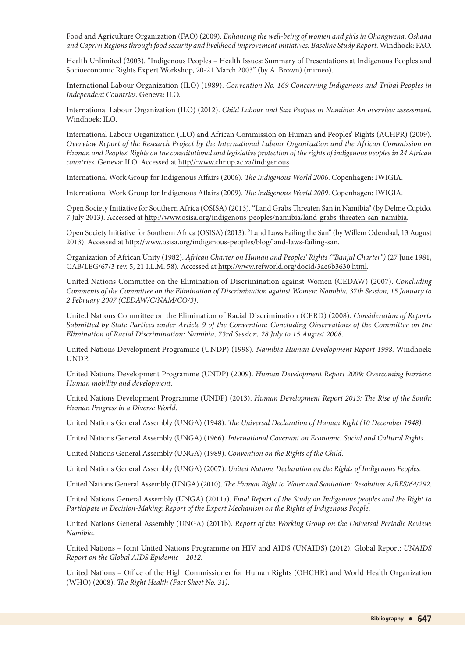Food and Agriculture Organization (FAO) (2009). *Enhancing the well-being of women and girls in Ohangwena, Oshana and Caprivi Regions through food security and livelihood improvement initiatives: Baseline Study Report*. Windhoek: FAO.

Health Unlimited (2003). "Indigenous Peoples – Health Issues: Summary of Presentations at Indigenous Peoples and Socioeconomic Rights Expert Workshop, 20-21 March 2003" (by A. Brown) (mimeo).

International Labour Organization (ILO) (1989). *Convention No. 169 Concerning Indigenous and Tribal Peoples in Independent Countries*. Geneva: ILO.

International Labour Organization (ILO) (2012). *Child Labour and San Peoples in Namibia: An overview assessment*. Windhoek: ILO.

International Labour Organization (ILO) and African Commission on Human and Peoples' Rights (ACHPR) (2009). *Overview Report of the Research Project by the International Labour Organization and the African Commission on Human and Peoples' Rights on the constitutional and legislative protection of the rights of indigenous peoples in 24 African countries*. Geneva: ILO. Accessed at http//:www.chr.up.ac.za/indigenous.

International Work Group for Indigenous Affairs (2006). *The Indigenous World 2006*. Copenhagen: IWIGIA.

International Work Group for Indigenous Affairs (2009). *The Indigenous World 2009*. Copenhagen: IWIGIA.

Open Society Initiative for Southern Africa (OSISA) (2013). "Land Grabs Threaten San in Namibia" (by Delme Cupido, 7 July 2013). Accessed at http://www.osisa.org/indigenous-peoples/namibia/land-grabs-threaten-san-namibia.

Open Society Initiative for Southern Africa (OSISA) (2013). "Land Laws Failing the San" (by Willem Odendaal, 13 August 2013). Accessed at http://www.osisa.org/indigenous-peoples/blog/land-laws-failing-san.

Organization of African Unity (1982). *African Charter on Human and Peoples' Rights ("Banjul Charter")* (27 June 1981, CAB/LEG/67/3 rev. 5, 21 I.L.M. 58). Accessed at http://www.refworld.org/docid/3ae6b3630.html.

United Nations Committee on the Elimination of Discrimination against Women (CEDAW) (2007). *Concluding Comments of the Committee on the Elimination of Discrimination against Women: Namibia, 37th Session, 15 January to 2 February 2007 (CEDAW/C/NAM/CO/3)*.

United Nations Committee on the Elimination of Racial Discrimination (CERD) (2008). *Consideration of Reports Submitted by State Partices under Article 9 of the Convention: Concluding Observations of the Committee on the Elimination of Racial Discrimination: Namibia, 73rd Session, 28 July to 15 August 2008*.

United Nations Development Programme (UNDP) (1998). *Namibia Human Development Report 1998*. Windhoek: UNDP.

United Nations Development Programme (UNDP) (2009). *Human Development Report 2009: Overcoming barriers: Human mobility and development*.

United Nations Development Programme (UNDP) (2013). *Human Development Report 2013: The Rise of the South: Human Progress in a Diverse World*.

United Nations General Assembly (UNGA) (1948). *The Universal Declaration of Human Right (10 December 1948)*.

United Nations General Assembly (UNGA) (1966). *International Covenant on Economic, Social and Cultural Rights*.

United Nations General Assembly (UNGA) (1989). *Convention on the Rights of the Child.*

United Nations General Assembly (UNGA) (2007). *United Nations Declaration on the Rights of Indigenous Peoples*.

United Nations General Assembly (UNGA) (2010). *The Human Right to Water and Sanitation: Resolution A/RES/64/292*.

United Nations General Assembly (UNGA) (2011a). *Final Report of the Study on Indigenous peoples and the Right to Participate in Decision-Making: Report of the Expert Mechanism on the Rights of Indigenous People*.

United Nations General Assembly (UNGA) (2011b). *Report of the Working Group on the Universal Periodic Review: Namibia*.

United Nations – Joint United Nations Programme on HIV and AIDS (UNAIDS) (2012). Global Report: *UNAIDS Report on the Global AIDS Epidemic – 2012*.

United Nations - Office of the High Commissioner for Human Rights (OHCHR) and World Health Organization (WHO) (2008). *The Right Health (Fact Sheet No. 31)*.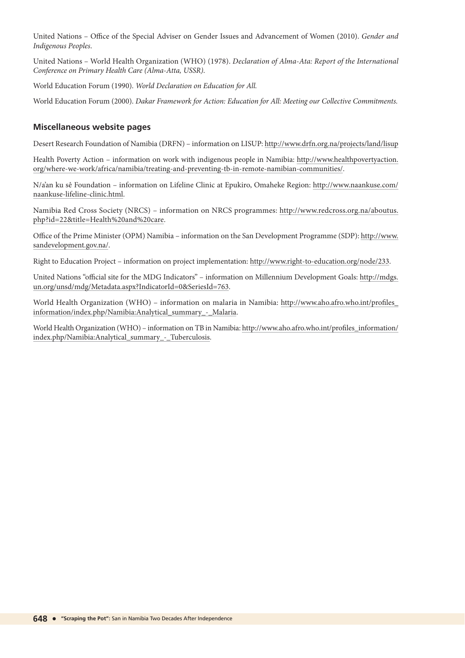United Nations - Office of the Special Adviser on Gender Issues and Advancement of Women (2010). *Gender and Indigenous Peoples*.

United Nations – World Health Organization (WHO) (1978). *Declaration of Alma-Ata: Report of the International Conference on Primary Health Care (Alma-Atta, USSR)*.

World Education Forum (1990). *World Declaration on Education for All.*

World Education Forum (2000). *Dakar Framework for Action: Education for All: Meeting our Collective Commitments.*

#### **Miscellaneous website pages**

Desert Research Foundation of Namibia (DRFN) – information on LISUP: http://www.drfn.org.na/projects/land/lisup

Health Poverty Action – information on work with indigenous people in Namibia: http://www.healthpovertyaction. org/where-we-work/africa/namibia/treating-and-preventing-tb-in-remote-namibian-communities/.

N/a'an ku sê Foundation – information on Lifeline Clinic at Epukiro, Omaheke Region: http://www.naankuse.com/ naankuse-lifeline-clinic.html.

Namibia Red Cross Society (NRCS) – information on NRCS programmes: http://www.redcross.org.na/aboutus. php?id=22&title=Health%20and%20care.

Office of the Prime Minister (OPM) Namibia – information on the San Development Programme (SDP): http://www. sandevelopment.gov.na/.

Right to Education Project – information on project implementation: http://www.right-to-education.org/node/233.

United Nations "official site for the MDG Indicators" – information on Millennium Development Goals: http://mdgs. un.org/unsd/mdg/Metadata.aspx?IndicatorId=0&SeriesId=763.

World Health Organization (WHO) – information on malaria in Namibia: http://www.aho.afro.who.int/profiles\_ information/index.php/Namibia:Analytical\_summary\_-\_Malaria.

World Health Organization (WHO) – information on TB in Namibia: http://www.aho.afro.who.int/profiles\_information/ index.php/Namibia:Analytical\_summary\_-\_Tuberculosis.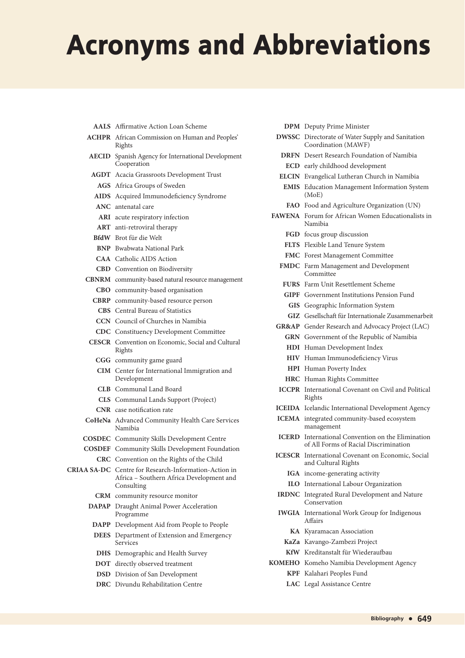## Acronyms and Abbreviations

| <b>AALS</b> Affirmative Action Loan Scheme                                                                      |
|-----------------------------------------------------------------------------------------------------------------|
| <b>ACHPR</b> African Commission on Human and Peoples'<br>Rights                                                 |
| <b>AECID</b> Spanish Agency for International Development<br>Cooperation                                        |
| <b>AGDT</b> Acacia Grassroots Development Trust                                                                 |
| AGS Africa Groups of Sweden                                                                                     |
| AIDS Acquired Immunodeficiency Syndrome                                                                         |
| ANC antenatal care                                                                                              |
| <b>ARI</b> acute respiratory infection                                                                          |
| ART anti-retroviral therapy                                                                                     |
| BfdW Brot für die Welt                                                                                          |
| <b>BNP</b> Bwabwata National Park                                                                               |
| <b>CAA</b> Catholic AIDS Action                                                                                 |
| <b>CBD</b> Convention on Biodiversity                                                                           |
| CBNRM community-based natural resource management                                                               |
| CBO community-based organisation                                                                                |
| CBRP community-based resource person                                                                            |
| <b>CBS</b> Central Bureau of Statistics                                                                         |
| <b>CCN</b> Council of Churches in Namibia                                                                       |
| <b>CDC</b> Constituency Development Committee                                                                   |
| <b>CESCR</b> Convention on Economic, Social and Cultural<br>Rights                                              |
| CGG community game guard                                                                                        |
| CIM Center for International Immigration and<br>Development                                                     |
| <b>CLB</b> Communal Land Board                                                                                  |
| CLS Communal Lands Support (Project)                                                                            |
| <b>CNR</b> case notification rate                                                                               |
| CoHeNa Advanced Community Health Care Services<br>Namibia                                                       |
| <b>COSDEC</b> Community Skills Development Centre                                                               |
| <b>COSDEF</b> Community Skills Development Foundation                                                           |
| CRC Convention on the Rights of the Child                                                                       |
| CRIAA SA-DC Centre for Research-Information-Action in<br>Africa - Southern Africa Development and<br>Consulting |
| CRM community resource monitor                                                                                  |
| DAPAP Draught Animal Power Acceleration<br>Programme                                                            |
| DAPP Development Aid from People to People                                                                      |
| <b>DEES</b> Department of Extension and Emergency<br>Services                                                   |
| DHS Demographic and Health Survey                                                                               |
| <b>DOT</b> directly observed treatment                                                                          |
| <b>DSD</b> Division of San Development                                                                          |
| <b>DRC</b> Divundu Rehabilitation Centre                                                                        |

|              | <b>DPM</b> Deputy Prime Minister                                                     |
|--------------|--------------------------------------------------------------------------------------|
|              | <b>DWSSC</b> Directorate of Water Supply and Sanitation<br>Coordination (MAWF)       |
|              | <b>DRFN</b> Desert Research Foundation of Namibia                                    |
|              | ECD early childhood development                                                      |
|              | ELCIN Evangelical Lutheran Church in Namibia                                         |
|              | <b>EMIS</b> Education Management Information System<br>(MoE)                         |
|              | FAO Food and Agriculture Organization (UN)                                           |
|              | FAWENA Forum for African Women Educationalists in<br>Namibia                         |
|              | <b>FGD</b> focus group discussion                                                    |
|              | FLTS Flexible Land Tenure System                                                     |
|              | FMC Forest Management Committee                                                      |
|              | FMDC Farm Management and Development<br>Committee                                    |
|              | <b>FURS</b> Farm Unit Resettlement Scheme                                            |
|              | <b>GIPF</b> Government Institutions Pension Fund                                     |
|              | GIS Geographic Information System                                                    |
|              | GIZ Gesellschaft für Internationale Zusammenarbeit                                   |
|              | <b>GR&amp;AP</b> Gender Research and Advocacy Project (LAC)                          |
|              | GRN Government of the Republic of Namibia                                            |
|              | HDI Human Development Index                                                          |
|              | HIV Human Immunodeficiency Virus                                                     |
|              | <b>HPI</b> Human Poverty Index                                                       |
|              | <b>HRC</b> Human Rights Committee                                                    |
|              | <b>ICCPR</b> International Covenant on Civil and Political<br>Rights                 |
|              | <b>ICEIDA</b> Icelandic International Development Agency                             |
|              | ICEMA integrated community-based ecosystem<br>management                             |
| <b>ICERD</b> | International Convention on the Elimination<br>of All Forms of Racial Discrimination |
|              | <b>ICESCR</b> International Covenant on Economic, Social<br>and Cultural Rights      |
|              | IGA income-generating activity                                                       |
|              | ILO International Labour Organization                                                |
|              | IRDNC Integrated Rural Development and Nature<br>Conservation                        |
|              | <b>IWGIA</b> International Work Group for Indigenous<br>Affairs                      |
|              | KA Kyaramacan Association                                                            |
|              | KaZa Kavango-Zambezi Project                                                         |
|              | KfW Kreditanstalt für Wiederaufbau                                                   |
|              | KOMEHO Komeho Namibia Development Agency                                             |
|              | KPF Kalahari Peoples Fund                                                            |

**LAC** Legal Assistance Centre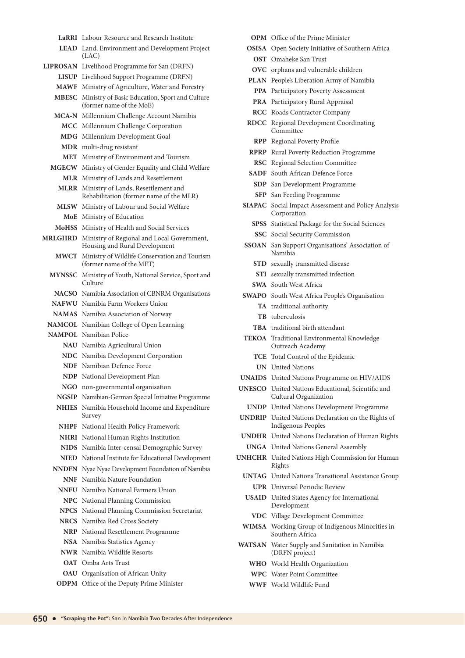|                 | LaRRI Labour Resource and Research Institute                                   |
|-----------------|--------------------------------------------------------------------------------|
| <b>LEAD</b>     | Land, Environment and Development Project<br>(LAC)                             |
| <b>LIPROSAN</b> | Livelihood Programme for San (DRFN)                                            |
| <b>LISUP</b>    | Livelihood Support Programme (DRFN)                                            |
| <b>MAWF</b>     | Ministry of Agriculture, Water and Forestry                                    |
| <b>MBESC</b>    | Ministry of Basic Education, Sport and Culture                                 |
|                 | (former name of the MoE)                                                       |
| MCA-N           | Millennium Challenge Account Namibia                                           |
|                 | MCC Millennium Challenge Corporation                                           |
| MDG             | Millennium Development Goal                                                    |
| MDR             | multi-drug resistant                                                           |
| MET             | Ministry of Environment and Tourism                                            |
| <b>MGECW</b>    | Ministry of Gender Equality and Child Welfare                                  |
| MLR             | Ministry of Lands and Resettlement                                             |
| <b>MLRR</b>     | Ministry of Lands, Resettlement and<br>Rehabilitation (former name of the MLR) |
| <b>MLSW</b>     | Ministry of Labour and Social Welfare                                          |
| MoE             | Ministry of Education                                                          |
| MoHSS           | Ministry of Health and Social Services                                         |
| <b>MRLGHRD</b>  | Ministry of Regional and Local Government,<br>Housing and Rural Development    |
| <b>MWCT</b>     | Ministry of Wildlife Conservation and Tourism<br>(former name of the MET)      |
| <b>MYNSSC</b>   | Ministry of Youth, National Service, Sport and<br>Culture                      |
| <b>NACSO</b>    | Namibia Association of CBNRM Organisations                                     |
| <b>NAFWU</b>    | Namibia Farm Workers Union                                                     |
| <b>NAMAS</b>    | Namibia Association of Norway                                                  |
| <b>NAMCOL</b>   | Namibian College of Open Learning                                              |
| <b>NAMPOL</b>   | Namibian Police                                                                |
| NAU             | Namibia Agricultural Union                                                     |
|                 | NDC Namibia Development Corporation                                            |
| <b>NDF</b>      | Namibian Defence Force                                                         |
| NDP .           | National Development Plan                                                      |
| <b>NGO</b>      | non-governmental organisation                                                  |
|                 | NGSIP Namibian-German Special Initiative Programme                             |
|                 | NHIES Namibia Household Income and Expenditure<br>Survey                       |
|                 | NHPF National Health Policy Framework                                          |
|                 | <b>NHRI</b> National Human Rights Institution                                  |
|                 | NIDS Namibia Inter-censal Demographic Survey                                   |
|                 | NIED National Institute for Educational Development                            |
|                 | NNDFN Nyae Nyae Development Foundation of Namibia                              |
|                 | <b>NNF</b> Namibia Nature Foundation                                           |
| <b>NNFU</b>     | Namibia National Farmers Union                                                 |
|                 | NPC National Planning Commission                                               |
|                 | NPCS National Planning Commission Secretariat                                  |
|                 | NRCS Namibia Red Cross Society                                                 |
|                 | <b>NRP</b> National Resettlement Programme                                     |
|                 | NSA Namibia Statistics Agency                                                  |
|                 | <b>NWR</b> Namibia Wildlife Resorts                                            |
|                 | <b>OAT</b> Omba Arts Trust                                                     |
|                 | OAU Organisation of African Unity                                              |
|                 | <b>ODPM</b> Office of the Deputy Prime Minister                                |

| <b>OPM</b> Office of the Prime Minister                                                |
|----------------------------------------------------------------------------------------|
| <b>OSISA</b> Open Society Initiative of Southern Africa                                |
| <b>OST</b> Omaheke San Trust                                                           |
| OVC orphans and vulnerable children                                                    |
| PLAN People's Liberation Army of Namibia                                               |
| PPA Participatory Poverty Assessment                                                   |
| PRA Participatory Rural Appraisal                                                      |
| <b>RCC</b> Roads Contractor Company                                                    |
| RDCC Regional Development Coordinating<br>Committee                                    |
| RPP Regional Poverty Profile                                                           |
| <b>RPRP</b> Rural Poverty Reduction Programme                                          |
| RSC Regional Selection Committee                                                       |
| <b>SADF</b> South African Defence Force                                                |
| SDP San Development Programme                                                          |
| <b>SFP</b> San Feeding Programme                                                       |
| SIAPAC Social Impact Assessment and Policy Analysis<br>Corporation                     |
| SPSS Statistical Package for the Social Sciences                                       |
| <b>SSC</b> Social Security Commission                                                  |
| <b>SSOAN</b> San Support Organisations' Association of<br>Namibia                      |
| <b>STD</b> sexually transmitted disease                                                |
| <b>STI</b> sexually transmitted infection                                              |
| <b>SWA</b> South West Africa                                                           |
| <b>SWAPO</b> South West Africa People's Organisation                                   |
| <b>TA</b> traditional authority                                                        |
|                                                                                        |
| <b>TB</b> tuberculosis                                                                 |
| <b>TBA</b> traditional birth attendant                                                 |
| <b>TEKOA</b> Traditional Environmental Knowledge<br>Outreach Academy                   |
| TCE Total Control of the Epidemic                                                      |
| <b>UN</b> United Nations                                                               |
| <b>UNAIDS</b> United Nations Programme on HIV/AIDS                                     |
| <b>UNESCO</b> United Nations Educational, Scientific and<br>Cultural Organization      |
| <b>UNDP</b> United Nations Development Programme                                       |
| <b>UNDRIP</b> United Nations Declaration on the Rights of<br><b>Indigenous Peoples</b> |
| <b>UNDHR</b> United Nations Declaration of Human Rights                                |
| <b>UNGA</b> United Nations General Assembly                                            |
| <b>UNHCHR</b> United Nations High Commission for Human<br>Rights                       |
| <b>UNTAG</b> United Nations Transitional Assistance Group                              |
| <b>UPR</b> Universal Periodic Review                                                   |
| <b>USAID</b> United States Agency for International<br>Development                     |
| VDC Village Development Committee                                                      |
| <b>WIMSA</b> Working Group of Indigenous Minorities in<br>Southern Africa              |
| WATSAN Water Supply and Sanitation in Namibia<br>(DRFN project)                        |
| WHO World Health Organization                                                          |
| <b>WPC</b> Water Point Committee<br>WWF World Wildlife Fund                            |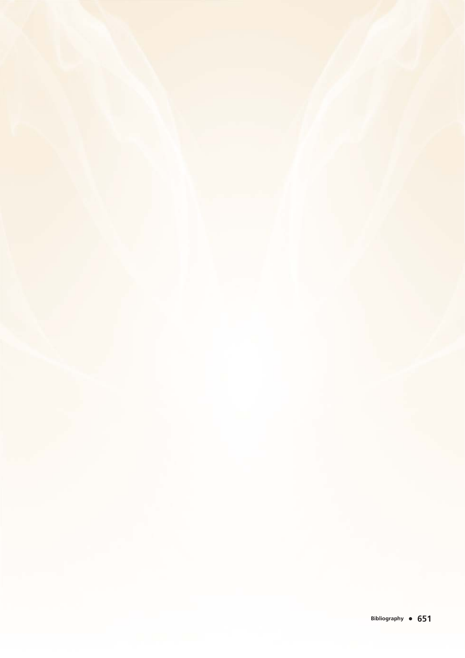**Bibliography 651**